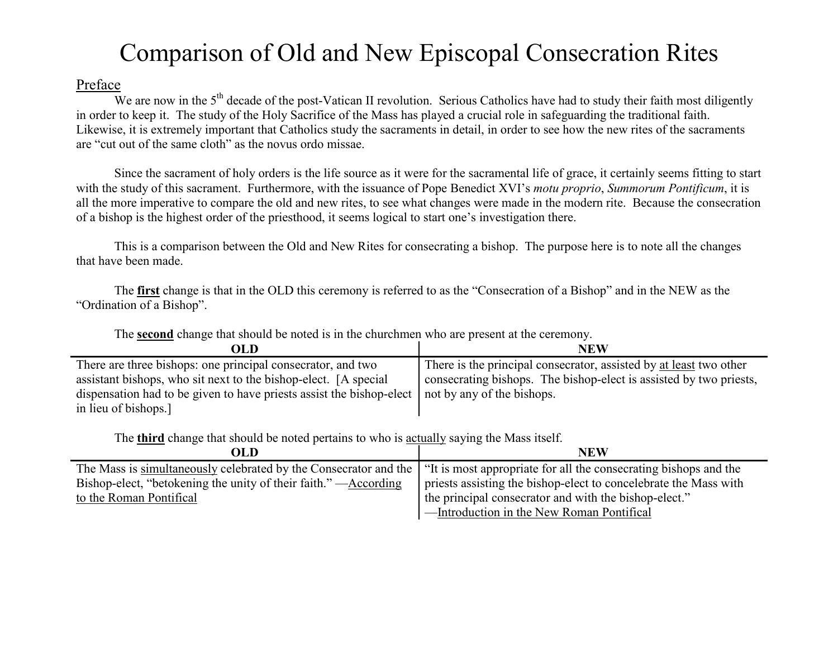## Comparison of Old and New Episcopal Consecration Rites

## Preface

We are now in the  $5<sup>th</sup>$  decade of the post-Vatican II revolution. Serious Catholics have had to study their faith most diligently in order to keep it. The study of the Holy Sacrifice of the Mass has played a crucial role in safeguarding the traditional faith. Likewise, it is extremely important that Catholics study the sacraments in detail, in order to see how the new rites of the sacraments are "cut out of the same cloth" as the novus ordo missae.

 Since the sacrament of holy orders is the life source as it were for the sacramental life of grace, it certainly seems fitting to start with the study of this sacrament. Furthermore, with the issuance of Pope Benedict XVI's *motu proprio*, *Summorum Pontificum*, it is all the more imperative to compare the old and new rites, to see what changes were made in the modern rite. Because the consecration of a bishop is the highest order of the priesthood, it seems logical to start one's investigation there.

This is a comparison between the Old and New Rites for consecrating a bishop. The purpose here is to note all the changes that have been made.

The **first** change is that in the OLD this ceremony is referred to as the "Consecration of a Bishop" and in the NEW as the "Ordination of a Bishop".

| OLD                                                                                               | NEW                                                                |
|---------------------------------------------------------------------------------------------------|--------------------------------------------------------------------|
| There are three bishops: one principal consecrator, and two                                       | There is the principal consecrator, assisted by at least two other |
| assistant bishops, who sit next to the bishop-elect. [A special]                                  | consecrating bishops. The bishop-elect is assisted by two priests, |
| dispensation had to be given to have priests assist the bishop-elect   not by any of the bishops. |                                                                    |
| in lieu of bishops.]                                                                              |                                                                    |

The **second** change that should be noted is in the churchmen who are present at the ceremony.

The **third** change that should be noted pertains to who is actually saying the Mass itself.

| OLD                                                                                                                               | <b>NEW</b>                                                       |
|-----------------------------------------------------------------------------------------------------------------------------------|------------------------------------------------------------------|
| The Mass is simultaneously celebrated by the Consecrator and the "It is most appropriate for all the consecrating bishops and the |                                                                  |
| Bishop-elect, "betokening the unity of their faith."—According                                                                    | priests assisting the bishop-elect to concelebrate the Mass with |
| to the Roman Pontifical                                                                                                           | the principal consecrator and with the bishop-elect."            |
|                                                                                                                                   | -Introduction in the New Roman Pontifical                        |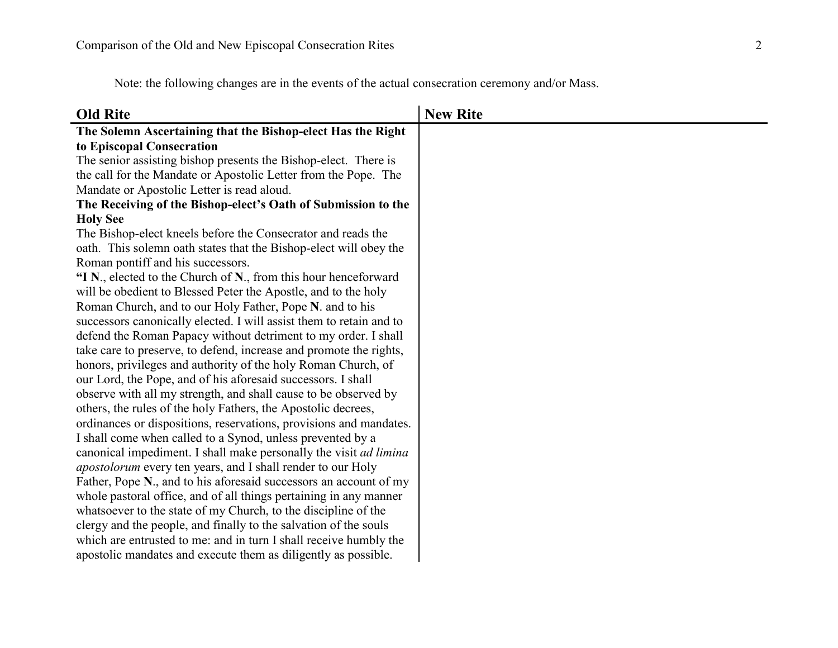Note: the following changes are in the events of the actual consecration ceremony and/or Mass.

| <b>Old Rite</b>                                                          | <b>New Rite</b> |
|--------------------------------------------------------------------------|-----------------|
| The Solemn Ascertaining that the Bishop-elect Has the Right              |                 |
| to Episcopal Consecration                                                |                 |
| The senior assisting bishop presents the Bishop-elect. There is          |                 |
| the call for the Mandate or Apostolic Letter from the Pope. The          |                 |
| Mandate or Apostolic Letter is read aloud.                               |                 |
| The Receiving of the Bishop-elect's Oath of Submission to the            |                 |
| <b>Holy See</b>                                                          |                 |
| The Bishop-elect kneels before the Consecrator and reads the             |                 |
| oath. This solemn oath states that the Bishop-elect will obey the        |                 |
| Roman pontiff and his successors.                                        |                 |
| "I N., elected to the Church of N., from this hour henceforward          |                 |
| will be obedient to Blessed Peter the Apostle, and to the holy           |                 |
| Roman Church, and to our Holy Father, Pope N. and to his                 |                 |
| successors canonically elected. I will assist them to retain and to      |                 |
| defend the Roman Papacy without detriment to my order. I shall           |                 |
| take care to preserve, to defend, increase and promote the rights,       |                 |
| honors, privileges and authority of the holy Roman Church, of            |                 |
| our Lord, the Pope, and of his aforesaid successors. I shall             |                 |
| observe with all my strength, and shall cause to be observed by          |                 |
| others, the rules of the holy Fathers, the Apostolic decrees,            |                 |
| ordinances or dispositions, reservations, provisions and mandates.       |                 |
| I shall come when called to a Synod, unless prevented by a               |                 |
| canonical impediment. I shall make personally the visit <i>ad limina</i> |                 |
| <i>apostolorum</i> every ten years, and I shall render to our Holy       |                 |
| Father, Pope N., and to his aforesaid successors an account of my        |                 |
| whole pastoral office, and of all things pertaining in any manner        |                 |
| whatsoever to the state of my Church, to the discipline of the           |                 |
| clergy and the people, and finally to the salvation of the souls         |                 |
| which are entrusted to me: and in turn I shall receive humbly the        |                 |
| apostolic mandates and execute them as diligently as possible.           |                 |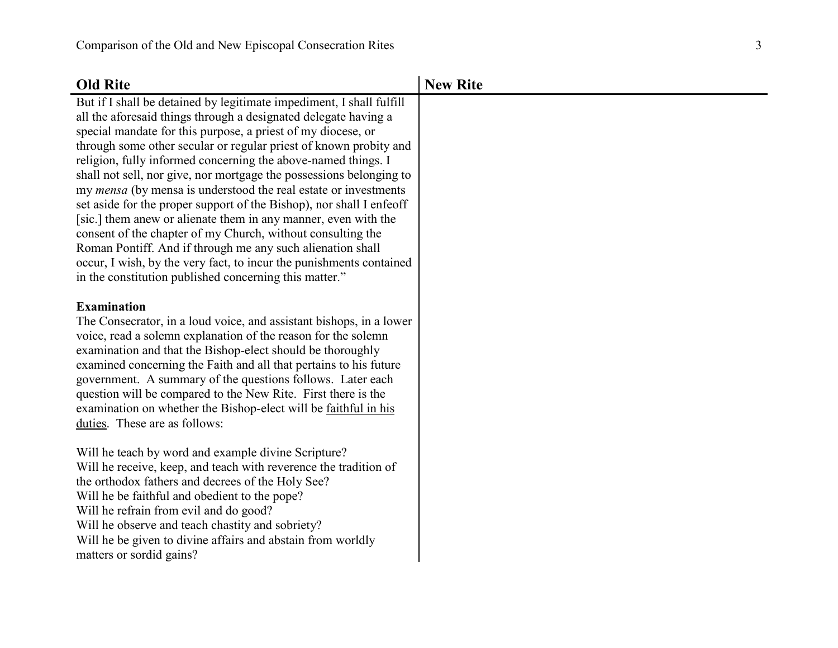| <b>Old Rite</b>                                                                                                                                                                                                                                                                                                                                                                                                                                                                                                                                                                                                                                                                                                                                                                                                                                                                                        | <b>New Rite</b> |
|--------------------------------------------------------------------------------------------------------------------------------------------------------------------------------------------------------------------------------------------------------------------------------------------------------------------------------------------------------------------------------------------------------------------------------------------------------------------------------------------------------------------------------------------------------------------------------------------------------------------------------------------------------------------------------------------------------------------------------------------------------------------------------------------------------------------------------------------------------------------------------------------------------|-----------------|
| But if I shall be detained by legitimate impediment, I shall fulfill<br>all the aforesaid things through a designated delegate having a<br>special mandate for this purpose, a priest of my diocese, or<br>through some other secular or regular priest of known probity and<br>religion, fully informed concerning the above-named things. I<br>shall not sell, nor give, nor mortgage the possessions belonging to<br>my <i>mensa</i> (by mensa is understood the real estate or investments<br>set aside for the proper support of the Bishop), nor shall I enfeoff<br>[sic.] them anew or alienate them in any manner, even with the<br>consent of the chapter of my Church, without consulting the<br>Roman Pontiff. And if through me any such alienation shall<br>occur, I wish, by the very fact, to incur the punishments contained<br>in the constitution published concerning this matter." |                 |
| <b>Examination</b><br>The Consecrator, in a loud voice, and assistant bishops, in a lower<br>voice, read a solemn explanation of the reason for the solemn<br>examination and that the Bishop-elect should be thoroughly<br>examined concerning the Faith and all that pertains to his future<br>government. A summary of the questions follows. Later each<br>question will be compared to the New Rite. First there is the<br>examination on whether the Bishop-elect will be faithful in his<br>duties. These are as follows:                                                                                                                                                                                                                                                                                                                                                                       |                 |
| Will he teach by word and example divine Scripture?<br>Will he receive, keep, and teach with reverence the tradition of<br>the orthodox fathers and decrees of the Holy See?<br>Will he be faithful and obedient to the pope?<br>Will he refrain from evil and do good?<br>Will he observe and teach chastity and sobriety?<br>Will he be given to divine affairs and abstain from worldly<br>matters or sordid gains?                                                                                                                                                                                                                                                                                                                                                                                                                                                                                 |                 |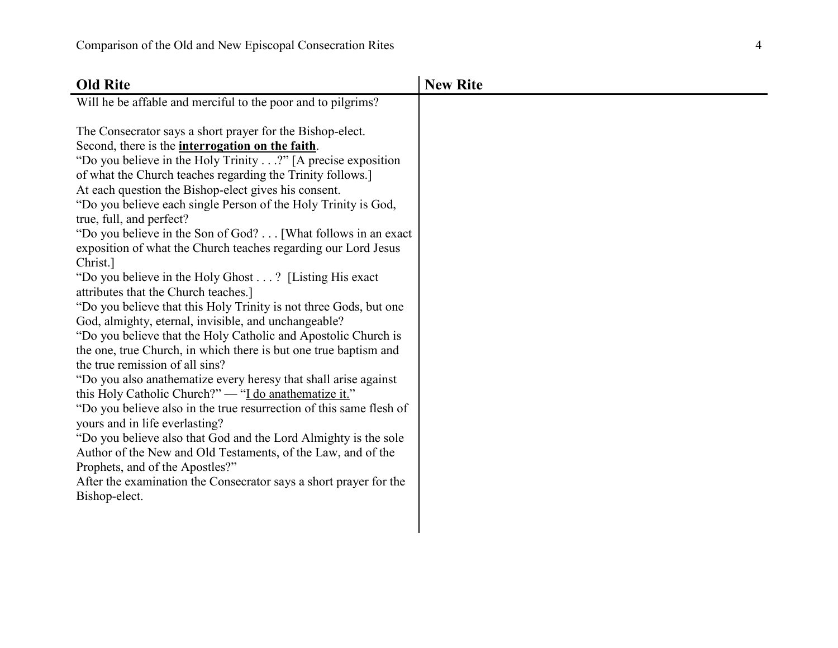| <b>Old Rite</b>                                                                                                                                                                                                                                                                                                                                                                                                                                                                                                                                                                                                                                                                                                                                                                                                                                                                                                                                                                                                                                                                                                                                                                                                                                                                                                                                                                                                                                                | <b>New Rite</b> |
|----------------------------------------------------------------------------------------------------------------------------------------------------------------------------------------------------------------------------------------------------------------------------------------------------------------------------------------------------------------------------------------------------------------------------------------------------------------------------------------------------------------------------------------------------------------------------------------------------------------------------------------------------------------------------------------------------------------------------------------------------------------------------------------------------------------------------------------------------------------------------------------------------------------------------------------------------------------------------------------------------------------------------------------------------------------------------------------------------------------------------------------------------------------------------------------------------------------------------------------------------------------------------------------------------------------------------------------------------------------------------------------------------------------------------------------------------------------|-----------------|
| Will he be affable and merciful to the poor and to pilgrims?                                                                                                                                                                                                                                                                                                                                                                                                                                                                                                                                                                                                                                                                                                                                                                                                                                                                                                                                                                                                                                                                                                                                                                                                                                                                                                                                                                                                   |                 |
| The Consecrator says a short prayer for the Bishop-elect.<br>Second, there is the <b>interrogation on the faith</b> .<br>"Do you believe in the Holy Trinity?" [A precise exposition<br>of what the Church teaches regarding the Trinity follows.<br>At each question the Bishop-elect gives his consent.<br>"Do you believe each single Person of the Holy Trinity is God,<br>true, full, and perfect?<br>"Do you believe in the Son of God? [What follows in an exact<br>exposition of what the Church teaches regarding our Lord Jesus<br>Christ.]<br>"Do you believe in the Holy Ghost? [Listing His exact]<br>attributes that the Church teaches.]<br>"Do you believe that this Holy Trinity is not three Gods, but one<br>God, almighty, eternal, invisible, and unchangeable?<br>"Do you believe that the Holy Catholic and Apostolic Church is<br>the one, true Church, in which there is but one true baptism and<br>the true remission of all sins?<br>"Do you also anathematize every heresy that shall arise against<br>this Holy Catholic Church?" — "I do anathematize it."<br>"Do you believe also in the true resurrection of this same flesh of<br>yours and in life everlasting?<br>"Do you believe also that God and the Lord Almighty is the sole<br>Author of the New and Old Testaments, of the Law, and of the<br>Prophets, and of the Apostles?"<br>After the examination the Consecrator says a short prayer for the<br>Bishop-elect. |                 |
|                                                                                                                                                                                                                                                                                                                                                                                                                                                                                                                                                                                                                                                                                                                                                                                                                                                                                                                                                                                                                                                                                                                                                                                                                                                                                                                                                                                                                                                                |                 |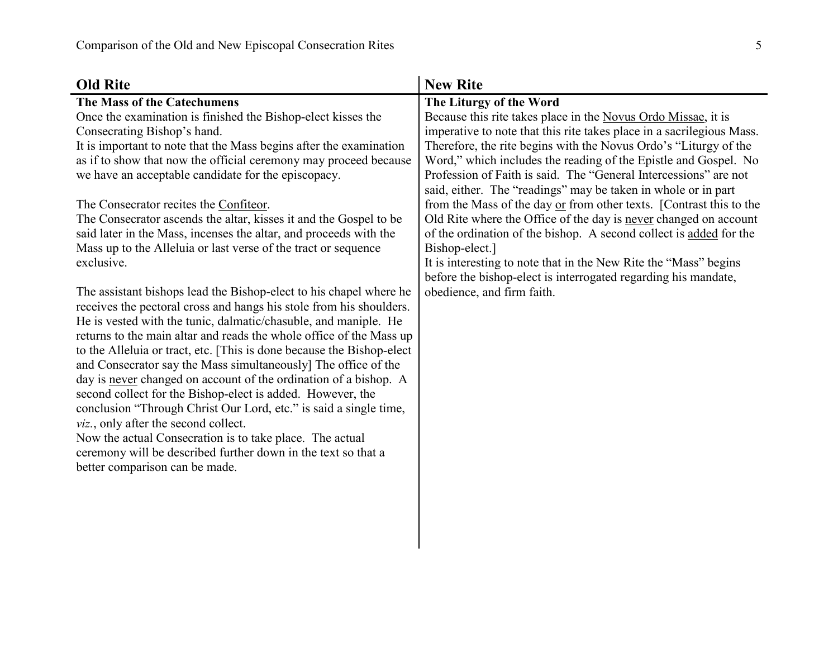| <b>Old Rite</b>                                                                                                                                                                                                                                                                                                                                                                                                                                                                                                                                                                                                                                                                                                                                                                                                                                                                                                                                                                                                                                                                                                                                                                                                                                                                                                                                                                                                                                 | <b>New Rite</b>                                                                                                                                                                                                                                                                                                                                                                                                                                                                                                                                                                                                                                                                                                                                                                                                                                      |
|-------------------------------------------------------------------------------------------------------------------------------------------------------------------------------------------------------------------------------------------------------------------------------------------------------------------------------------------------------------------------------------------------------------------------------------------------------------------------------------------------------------------------------------------------------------------------------------------------------------------------------------------------------------------------------------------------------------------------------------------------------------------------------------------------------------------------------------------------------------------------------------------------------------------------------------------------------------------------------------------------------------------------------------------------------------------------------------------------------------------------------------------------------------------------------------------------------------------------------------------------------------------------------------------------------------------------------------------------------------------------------------------------------------------------------------------------|------------------------------------------------------------------------------------------------------------------------------------------------------------------------------------------------------------------------------------------------------------------------------------------------------------------------------------------------------------------------------------------------------------------------------------------------------------------------------------------------------------------------------------------------------------------------------------------------------------------------------------------------------------------------------------------------------------------------------------------------------------------------------------------------------------------------------------------------------|
| The Mass of the Catechumens<br>Once the examination is finished the Bishop-elect kisses the<br>Consecrating Bishop's hand.<br>It is important to note that the Mass begins after the examination<br>as if to show that now the official ceremony may proceed because<br>we have an acceptable candidate for the episcopacy.<br>The Consecrator recites the Confiteor.<br>The Consecrator ascends the altar, kisses it and the Gospel to be<br>said later in the Mass, incenses the altar, and proceeds with the<br>Mass up to the Alleluia or last verse of the tract or sequence<br>exclusive.<br>The assistant bishops lead the Bishop-elect to his chapel where he<br>receives the pectoral cross and hangs his stole from his shoulders.<br>He is vested with the tunic, dalmatic/chasuble, and maniple. He<br>returns to the main altar and reads the whole office of the Mass up<br>to the Alleluia or tract, etc. [This is done because the Bishop-elect<br>and Consecrator say the Mass simultaneously] The office of the<br>day is never changed on account of the ordination of a bishop. A<br>second collect for the Bishop-elect is added. However, the<br>conclusion "Through Christ Our Lord, etc." is said a single time,<br>viz., only after the second collect.<br>Now the actual Consecration is to take place. The actual<br>ceremony will be described further down in the text so that a<br>better comparison can be made. | The Liturgy of the Word<br>Because this rite takes place in the Novus Ordo Missae, it is<br>imperative to note that this rite takes place in a sacrilegious Mass.<br>Therefore, the rite begins with the Novus Ordo's "Liturgy of the<br>Word," which includes the reading of the Epistle and Gospel. No<br>Profession of Faith is said. The "General Intercessions" are not<br>said, either. The "readings" may be taken in whole or in part<br>from the Mass of the day or from other texts. [Contrast this to the<br>Old Rite where the Office of the day is never changed on account<br>of the ordination of the bishop. A second collect is added for the<br>Bishop-elect.]<br>It is interesting to note that in the New Rite the "Mass" begins<br>before the bishop-elect is interrogated regarding his mandate,<br>obedience, and firm faith. |
|                                                                                                                                                                                                                                                                                                                                                                                                                                                                                                                                                                                                                                                                                                                                                                                                                                                                                                                                                                                                                                                                                                                                                                                                                                                                                                                                                                                                                                                 |                                                                                                                                                                                                                                                                                                                                                                                                                                                                                                                                                                                                                                                                                                                                                                                                                                                      |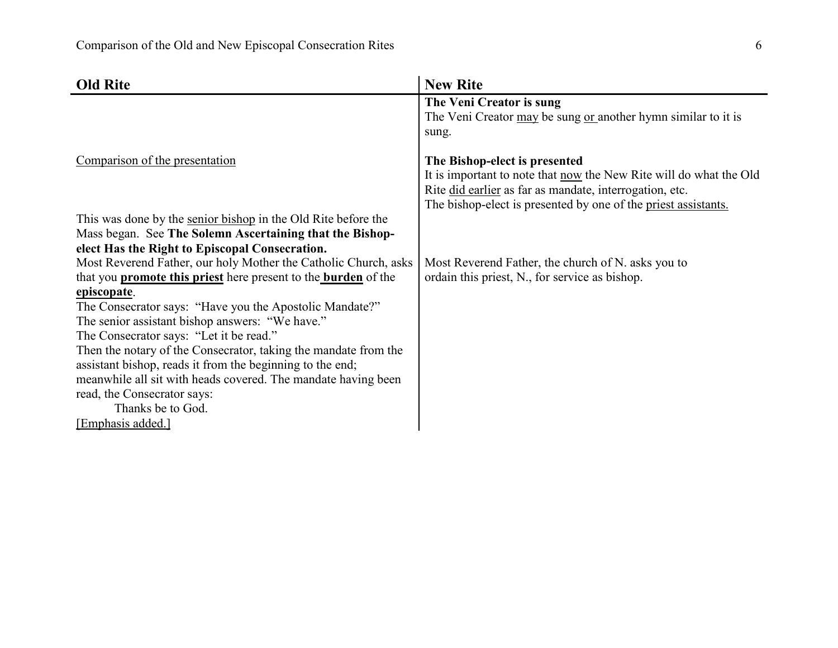| <b>Old Rite</b>                                                              | <b>New Rite</b>                                                                                            |
|------------------------------------------------------------------------------|------------------------------------------------------------------------------------------------------------|
|                                                                              | The Veni Creator is sung                                                                                   |
|                                                                              | The Veni Creator may be sung or another hymn similar to it is                                              |
|                                                                              | sung.                                                                                                      |
| Comparison of the presentation                                               |                                                                                                            |
|                                                                              | The Bishop-elect is presented<br>It is important to note that <u>now</u> the New Rite will do what the Old |
|                                                                              | Rite did earlier as far as mandate, interrogation, etc.                                                    |
|                                                                              | The bishop-elect is presented by one of the priest assistants.                                             |
| This was done by the senior bishop in the Old Rite before the                |                                                                                                            |
| Mass began. See The Solemn Ascertaining that the Bishop-                     |                                                                                                            |
| elect Has the Right to Episcopal Consecration.                               |                                                                                                            |
| Most Reverend Father, our holy Mother the Catholic Church, asks              | Most Reverend Father, the church of N. asks you to                                                         |
| that you <b>promote this priest</b> here present to the <b>burden</b> of the | ordain this priest, N., for service as bishop.                                                             |
| episcopate.                                                                  |                                                                                                            |
| The Consecrator says: "Have you the Apostolic Mandate?"                      |                                                                                                            |
| The senior assistant bishop answers: "We have."                              |                                                                                                            |
| The Consecrator says: "Let it be read."                                      |                                                                                                            |
| Then the notary of the Consecrator, taking the mandate from the              |                                                                                                            |
| assistant bishop, reads it from the beginning to the end;                    |                                                                                                            |
| meanwhile all sit with heads covered. The mandate having been                |                                                                                                            |
| read, the Consecrator says:                                                  |                                                                                                            |
| Thanks be to God.                                                            |                                                                                                            |
| [Emphasis added.]                                                            |                                                                                                            |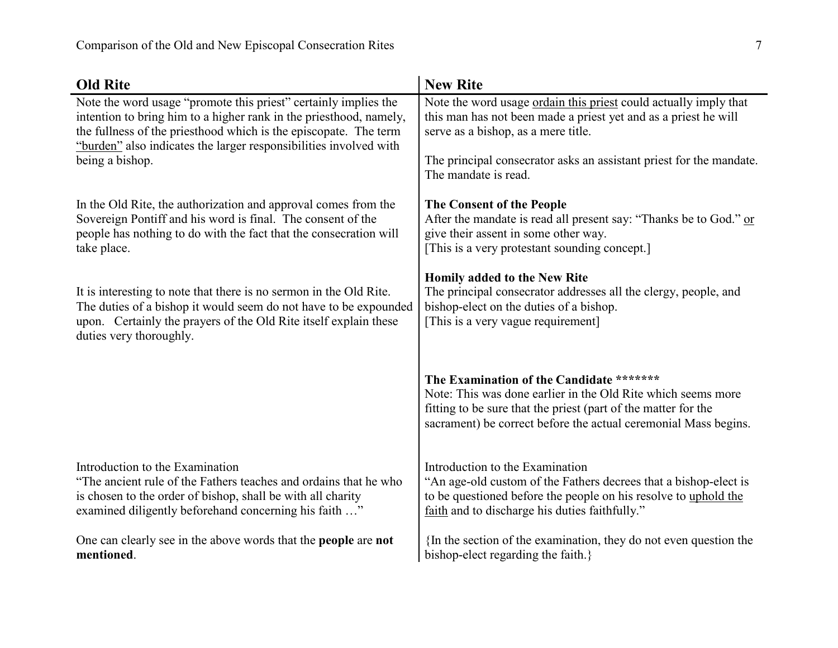| <b>Old Rite</b>                                                              | <b>New Rite</b>                                                                                                                                                                                                                               |
|------------------------------------------------------------------------------|-----------------------------------------------------------------------------------------------------------------------------------------------------------------------------------------------------------------------------------------------|
| Note the word usage "promote this priest" certainly implies the              | Note the word usage ordain this priest could actually imply that                                                                                                                                                                              |
| intention to bring him to a higher rank in the priesthood, namely,           | this man has not been made a priest yet and as a priest he will                                                                                                                                                                               |
| the fullness of the priesthood which is the episcopate. The term             | serve as a bishop, as a mere title.                                                                                                                                                                                                           |
| "burden" also indicates the larger responsibilities involved with            | The principal consecrator asks an assistant priest for the mandate.                                                                                                                                                                           |
| being a bishop.                                                              | The mandate is read.                                                                                                                                                                                                                          |
| In the Old Rite, the authorization and approval comes from the               | The Consent of the People                                                                                                                                                                                                                     |
| Sovereign Pontiff and his word is final. The consent of the                  | After the mandate is read all present say: "Thanks be to God." or                                                                                                                                                                             |
| people has nothing to do with the fact that the consecration will            | give their assent in some other way.                                                                                                                                                                                                          |
| take place.                                                                  | [This is a very protestant sounding concept.]                                                                                                                                                                                                 |
| It is interesting to note that there is no sermon in the Old Rite.           | Homily added to the New Rite                                                                                                                                                                                                                  |
| The duties of a bishop it would seem do not have to be expounded             | The principal consecrator addresses all the clergy, people, and                                                                                                                                                                               |
| upon. Certainly the prayers of the Old Rite itself explain these             | bishop-elect on the duties of a bishop.                                                                                                                                                                                                       |
| duties very thoroughly.                                                      | [This is a very vague requirement]                                                                                                                                                                                                            |
|                                                                              | The Examination of the Candidate *******<br>Note: This was done earlier in the Old Rite which seems more<br>fitting to be sure that the priest (part of the matter for the<br>sacrament) be correct before the actual ceremonial Mass begins. |
| Introduction to the Examination                                              | Introduction to the Examination                                                                                                                                                                                                               |
| "The ancient rule of the Fathers teaches and ordains that he who             | "An age-old custom of the Fathers decrees that a bishop-elect is                                                                                                                                                                              |
| is chosen to the order of bishop, shall be with all charity                  | to be questioned before the people on his resolve to uphold the                                                                                                                                                                               |
| examined diligently beforehand concerning his faith "                        | faith and to discharge his duties faithfully."                                                                                                                                                                                                |
| One can clearly see in the above words that the <b>people</b> are <b>not</b> | In the section of the examination, they do not even question the                                                                                                                                                                              |
| mentioned.                                                                   | bishop-elect regarding the faith.}                                                                                                                                                                                                            |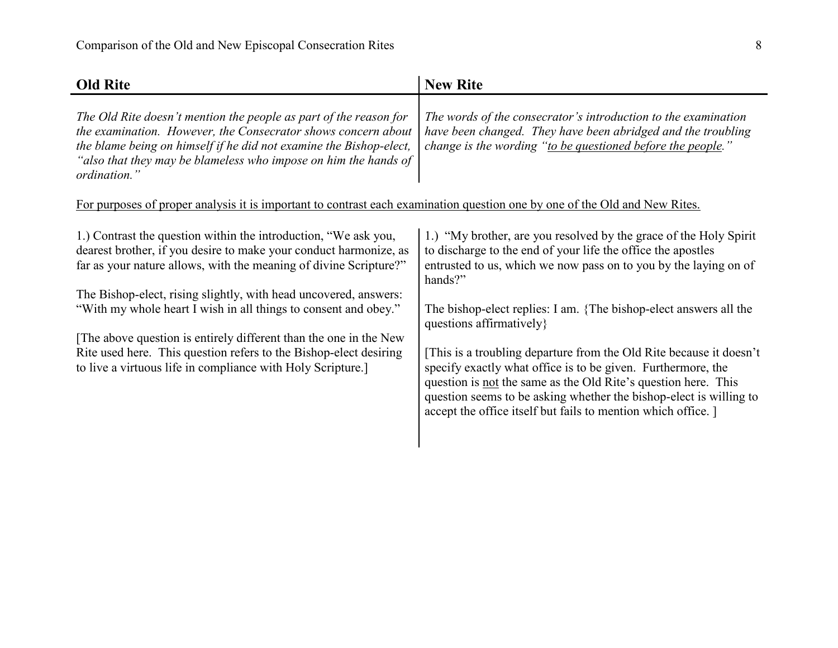| <b>Old Rite</b>                                                                                                                                                                                                                                                                                                                                                                                                                                                                                                                                         | <b>New Rite</b>                                                                                                                                                                                                                                                                                                                                                                                                                                                                                                                                                                                                                                                 |
|---------------------------------------------------------------------------------------------------------------------------------------------------------------------------------------------------------------------------------------------------------------------------------------------------------------------------------------------------------------------------------------------------------------------------------------------------------------------------------------------------------------------------------------------------------|-----------------------------------------------------------------------------------------------------------------------------------------------------------------------------------------------------------------------------------------------------------------------------------------------------------------------------------------------------------------------------------------------------------------------------------------------------------------------------------------------------------------------------------------------------------------------------------------------------------------------------------------------------------------|
| The Old Rite doesn't mention the people as part of the reason for<br>the examination. However, the Consecrator shows concern about<br>the blame being on himself if he did not examine the Bishop-elect,<br>"also that they may be blameless who impose on him the hands of<br>ordination."                                                                                                                                                                                                                                                             | The words of the consecrator's introduction to the examination<br>have been changed. They have been abridged and the troubling<br>change is the wording "to be questioned before the people."                                                                                                                                                                                                                                                                                                                                                                                                                                                                   |
| For purposes of proper analysis it is important to contrast each examination question one by one of the Old and New Rites.                                                                                                                                                                                                                                                                                                                                                                                                                              |                                                                                                                                                                                                                                                                                                                                                                                                                                                                                                                                                                                                                                                                 |
| 1.) Contrast the question within the introduction, "We ask you,<br>dearest brother, if you desire to make your conduct harmonize, as<br>far as your nature allows, with the meaning of divine Scripture?"<br>The Bishop-elect, rising slightly, with head uncovered, answers:<br>"With my whole heart I wish in all things to consent and obey."<br>The above question is entirely different than the one in the New<br>Rite used here. This question refers to the Bishop-elect desiring<br>to live a virtuous life in compliance with Holy Scripture. | 1.) "My brother, are you resolved by the grace of the Holy Spirit<br>to discharge to the end of your life the office the apostles<br>entrusted to us, which we now pass on to you by the laying on of<br>hands?"<br>The bishop-elect replies: I am. {The bishop-elect answers all the<br>questions affirmatively }<br>This is a troubling departure from the Old Rite because it doesn't<br>specify exactly what office is to be given. Furthermore, the<br>question is not the same as the Old Rite's question here. This<br>question seems to be asking whether the bishop-elect is willing to<br>accept the office itself but fails to mention which office. |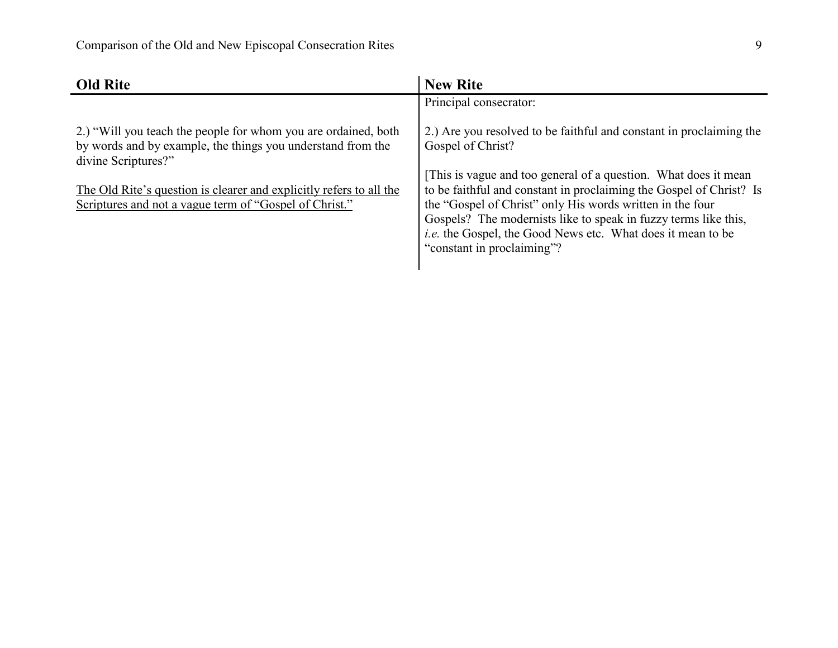| <b>Old Rite</b>                                                                                                                                                                                                                                                                       | <b>New Rite</b>                                                                                                                                                                                                                                                                                                                                                                                                                                                        |
|---------------------------------------------------------------------------------------------------------------------------------------------------------------------------------------------------------------------------------------------------------------------------------------|------------------------------------------------------------------------------------------------------------------------------------------------------------------------------------------------------------------------------------------------------------------------------------------------------------------------------------------------------------------------------------------------------------------------------------------------------------------------|
|                                                                                                                                                                                                                                                                                       | Principal consecrator:                                                                                                                                                                                                                                                                                                                                                                                                                                                 |
| 2.) "Will you teach the people for whom you are ordained, both<br>by words and by example, the things you understand from the<br>divine Scriptures?"<br>The Old Rite's question is clearer and explicitly refers to all the<br>Scriptures and not a vague term of "Gospel of Christ." | 2.) Are you resolved to be faithful and constant in proclaiming the<br>Gospel of Christ?<br>[This is vague and too general of a question. What does it mean<br>to be faithful and constant in proclaiming the Gospel of Christ? Is<br>the "Gospel of Christ" only His words written in the four<br>Gospels? The modernists like to speak in fuzzy terms like this,<br><i>i.e.</i> the Gospel, the Good News etc. What does it mean to be<br>"constant in proclaiming"? |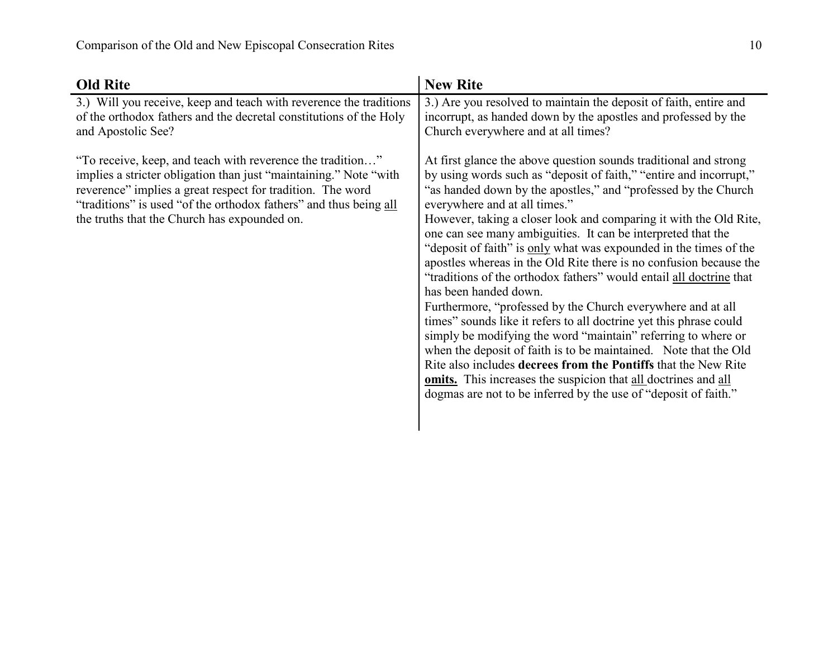| <b>Old Rite</b>                                                                                                                                                                                                                                                                                                    | <b>New Rite</b>                                                                                                                                                                                                                                                                                                                                                                                                                                                                                                                                                                                                                                                                                                                                                                                                                                                                                                                                                                                                                                                                                                    |
|--------------------------------------------------------------------------------------------------------------------------------------------------------------------------------------------------------------------------------------------------------------------------------------------------------------------|--------------------------------------------------------------------------------------------------------------------------------------------------------------------------------------------------------------------------------------------------------------------------------------------------------------------------------------------------------------------------------------------------------------------------------------------------------------------------------------------------------------------------------------------------------------------------------------------------------------------------------------------------------------------------------------------------------------------------------------------------------------------------------------------------------------------------------------------------------------------------------------------------------------------------------------------------------------------------------------------------------------------------------------------------------------------------------------------------------------------|
| 3.) Will you receive, keep and teach with reverence the traditions<br>of the orthodox fathers and the decretal constitutions of the Holy<br>and Apostolic See?                                                                                                                                                     | 3.) Are you resolved to maintain the deposit of faith, entire and<br>incorrupt, as handed down by the apostles and professed by the<br>Church everywhere and at all times?                                                                                                                                                                                                                                                                                                                                                                                                                                                                                                                                                                                                                                                                                                                                                                                                                                                                                                                                         |
| "To receive, keep, and teach with reverence the tradition"<br>implies a stricter obligation than just "maintaining." Note "with<br>reverence" implies a great respect for tradition. The word<br>"traditions" is used "of the orthodox fathers" and thus being all<br>the truths that the Church has expounded on. | At first glance the above question sounds traditional and strong<br>by using words such as "deposit of faith," "entire and incorrupt,"<br>"as handed down by the apostles," and "professed by the Church"<br>everywhere and at all times."<br>However, taking a closer look and comparing it with the Old Rite,<br>one can see many ambiguities. It can be interpreted that the<br>"deposit of faith" is only what was expounded in the times of the<br>apostles whereas in the Old Rite there is no confusion because the<br>"traditions of the orthodox fathers" would entail all doctrine that<br>has been handed down.<br>Furthermore, "professed by the Church everywhere and at all<br>times" sounds like it refers to all doctrine yet this phrase could<br>simply be modifying the word "maintain" referring to where or<br>when the deposit of faith is to be maintained. Note that the Old<br>Rite also includes decrees from the Pontiffs that the New Rite<br><b>omits.</b> This increases the suspicion that all doctrines and all<br>dogmas are not to be inferred by the use of "deposit of faith." |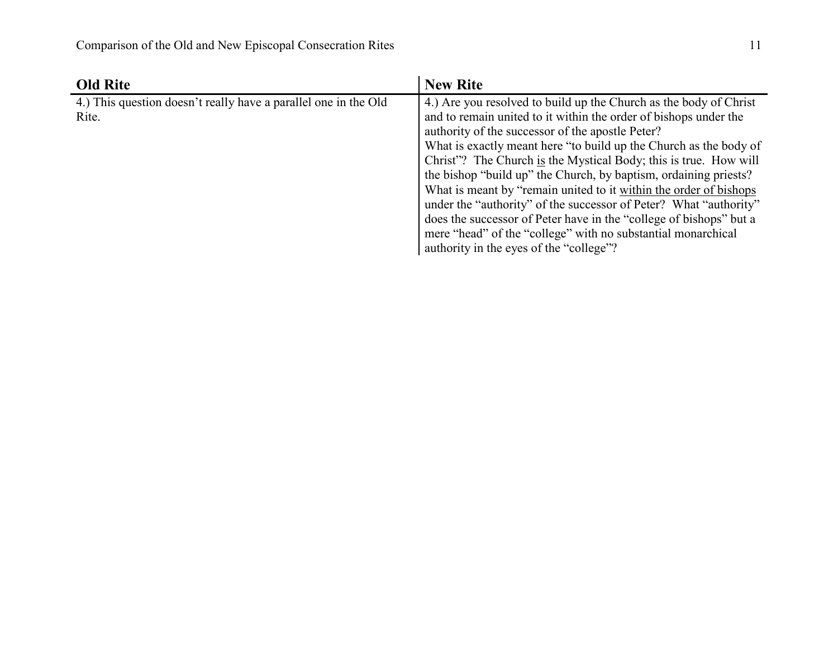| <b>Old Rite</b>                                                 | <b>New Rite</b>                                                    |
|-----------------------------------------------------------------|--------------------------------------------------------------------|
| 4.) This question doesn't really have a parallel one in the Old | 4.) Are you resolved to build up the Church as the body of Christ  |
| Rite.                                                           | and to remain united to it within the order of bishops under the   |
|                                                                 | authority of the successor of the apostle Peter?                   |
|                                                                 | What is exactly meant here "to build up the Church as the body of  |
|                                                                 | Christ"? The Church is the Mystical Body; this is true. How will   |
|                                                                 | the bishop "build up" the Church, by baptism, ordaining priests?   |
|                                                                 | What is meant by "remain united to it within the order of bishops" |
|                                                                 | under the "authority" of the successor of Peter? What "authority"  |
|                                                                 | does the successor of Peter have in the "college of bishops" but a |
|                                                                 | mere "head" of the "college" with no substantial monarchical       |
|                                                                 | authority in the eyes of the "college"?                            |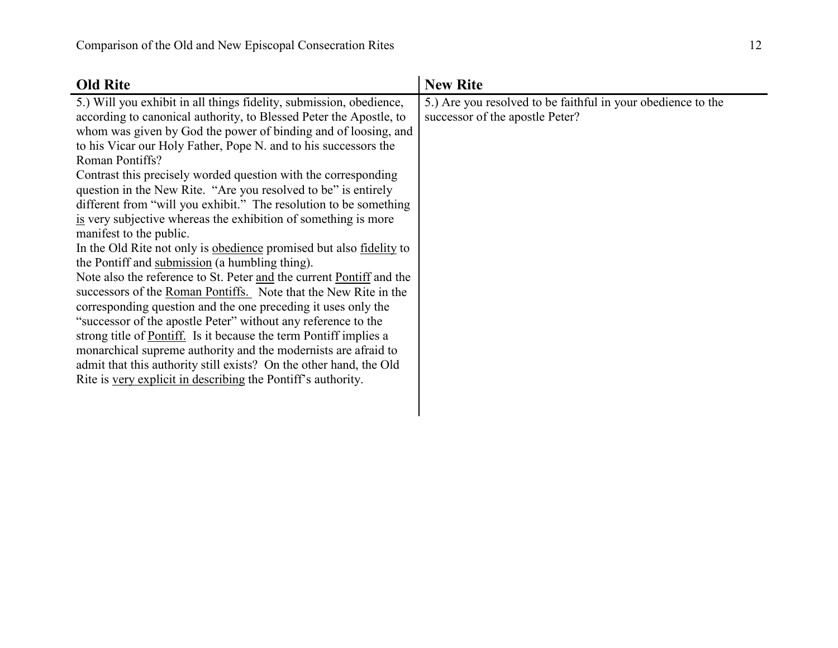| <b>Old Rite</b>                                                                                                                                                                                                                                                                                                                                                                                                                                                                                                                                                                                                                                                                                                                                                                                                                                                                                                                                                                                                                                                                                                                                                                                                                                                                                   | <b>New Rite</b>                                                                                 |
|---------------------------------------------------------------------------------------------------------------------------------------------------------------------------------------------------------------------------------------------------------------------------------------------------------------------------------------------------------------------------------------------------------------------------------------------------------------------------------------------------------------------------------------------------------------------------------------------------------------------------------------------------------------------------------------------------------------------------------------------------------------------------------------------------------------------------------------------------------------------------------------------------------------------------------------------------------------------------------------------------------------------------------------------------------------------------------------------------------------------------------------------------------------------------------------------------------------------------------------------------------------------------------------------------|-------------------------------------------------------------------------------------------------|
| 5.) Will you exhibit in all things fidelity, submission, obedience,<br>according to canonical authority, to Blessed Peter the Apostle, to<br>whom was given by God the power of binding and of loosing, and<br>to his Vicar our Holy Father, Pope N. and to his successors the<br>Roman Pontiffs?<br>Contrast this precisely worded question with the corresponding<br>question in the New Rite. "Are you resolved to be" is entirely<br>different from "will you exhibit." The resolution to be something<br>is very subjective whereas the exhibition of something is more<br>manifest to the public.<br>In the Old Rite not only is obedience promised but also <u>fidelity</u> to<br>the Pontiff and submission (a humbling thing).<br>Note also the reference to St. Peter and the current Pontiff and the<br>successors of the Roman Pontiffs. Note that the New Rite in the<br>corresponding question and the one preceding it uses only the<br>"successor of the apostle Peter" without any reference to the<br>strong title of Pontiff. Is it because the term Pontiff implies a<br>monarchical supreme authority and the modernists are afraid to<br>admit that this authority still exists? On the other hand, the Old<br>Rite is very explicit in describing the Pontiff's authority. | 5.) Are you resolved to be faithful in your obedience to the<br>successor of the apostle Peter? |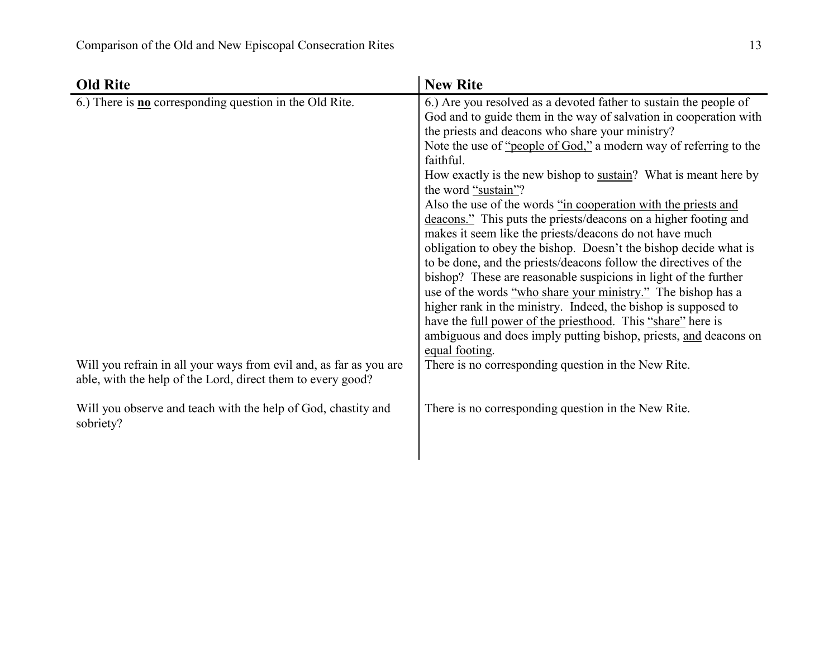| <b>Old Rite</b>                                                                                                                                                                                                                                                                                                        | <b>New Rite</b>                                                                                                                                                                                                                                                                                                                                                                                                                                                                                                                                                                                                                                                                                                                                                                                                                                                                                                                                                                                                                                                                                                                                                                                |
|------------------------------------------------------------------------------------------------------------------------------------------------------------------------------------------------------------------------------------------------------------------------------------------------------------------------|------------------------------------------------------------------------------------------------------------------------------------------------------------------------------------------------------------------------------------------------------------------------------------------------------------------------------------------------------------------------------------------------------------------------------------------------------------------------------------------------------------------------------------------------------------------------------------------------------------------------------------------------------------------------------------------------------------------------------------------------------------------------------------------------------------------------------------------------------------------------------------------------------------------------------------------------------------------------------------------------------------------------------------------------------------------------------------------------------------------------------------------------------------------------------------------------|
| 6.) There is $\underline{\mathbf{n}}\underline{\mathbf{o}}$ corresponding question in the Old Rite.<br>Will you refrain in all your ways from evil and, as far as you are<br>able, with the help of the Lord, direct them to every good?<br>Will you observe and teach with the help of God, chastity and<br>sobriety? | 6.) Are you resolved as a devoted father to sustain the people of<br>God and to guide them in the way of salvation in cooperation with<br>the priests and deacons who share your ministry?<br>Note the use of "people of God," a modern way of referring to the<br>faithful.<br>How exactly is the new bishop to sustain? What is meant here by<br>the word "sustain"?<br>Also the use of the words "in cooperation with the priests and<br>deacons." This puts the priests/deacons on a higher footing and<br>makes it seem like the priests/deacons do not have much<br>obligation to obey the bishop. Doesn't the bishop decide what is<br>to be done, and the priests/deacons follow the directives of the<br>bishop? These are reasonable suspicions in light of the further<br>use of the words "who share your ministry." The bishop has a<br>higher rank in the ministry. Indeed, the bishop is supposed to<br>have the <u>full power of the priesthood</u> . This "share" here is<br>ambiguous and does imply putting bishop, priests, and deacons on<br>equal footing.<br>There is no corresponding question in the New Rite.<br>There is no corresponding question in the New Rite. |
|                                                                                                                                                                                                                                                                                                                        |                                                                                                                                                                                                                                                                                                                                                                                                                                                                                                                                                                                                                                                                                                                                                                                                                                                                                                                                                                                                                                                                                                                                                                                                |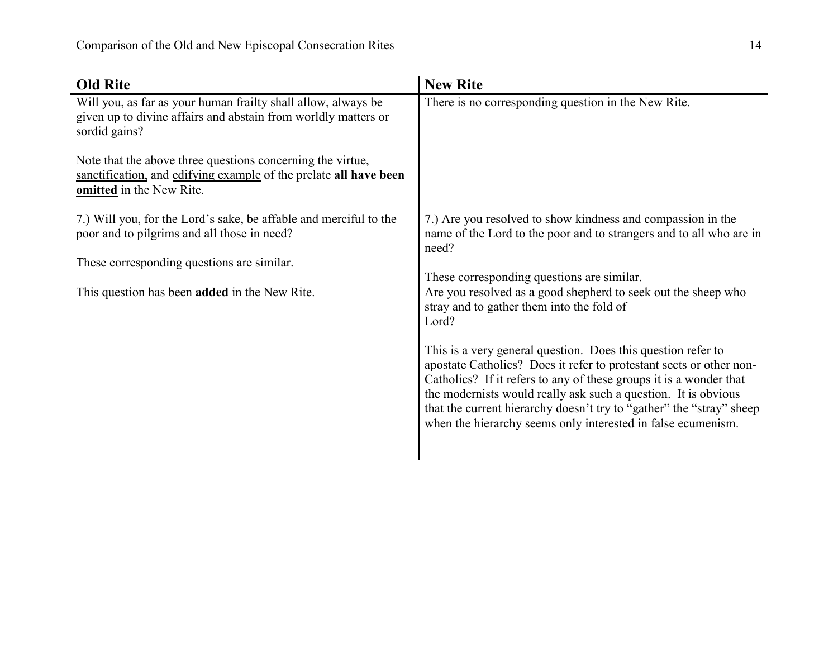| <b>Old Rite</b>                                                                                                                                             | <b>New Rite</b>                                                                                                                                                                                                                                                                                                                                                                                                     |
|-------------------------------------------------------------------------------------------------------------------------------------------------------------|---------------------------------------------------------------------------------------------------------------------------------------------------------------------------------------------------------------------------------------------------------------------------------------------------------------------------------------------------------------------------------------------------------------------|
| Will you, as far as your human frailty shall allow, always be<br>given up to divine affairs and abstain from worldly matters or<br>sordid gains?            | There is no corresponding question in the New Rite.                                                                                                                                                                                                                                                                                                                                                                 |
| Note that the above three questions concerning the virtue.<br>sanctification, and edifying example of the prelate all have been<br>omitted in the New Rite. |                                                                                                                                                                                                                                                                                                                                                                                                                     |
| 7.) Will you, for the Lord's sake, be affable and merciful to the<br>poor and to pilgrims and all those in need?                                            | 7.) Are you resolved to show kindness and compassion in the<br>name of the Lord to the poor and to strangers and to all who are in<br>need?                                                                                                                                                                                                                                                                         |
| These corresponding questions are similar.<br>This question has been <b>added</b> in the New Rite.                                                          | These corresponding questions are similar.<br>Are you resolved as a good shepherd to seek out the sheep who<br>stray and to gather them into the fold of<br>Lord?                                                                                                                                                                                                                                                   |
|                                                                                                                                                             | This is a very general question. Does this question refer to<br>apostate Catholics? Does it refer to protestant sects or other non-<br>Catholics? If it refers to any of these groups it is a wonder that<br>the modernists would really ask such a question. It is obvious<br>that the current hierarchy doesn't try to "gather" the "stray" sheep<br>when the hierarchy seems only interested in false ecumenism. |
|                                                                                                                                                             |                                                                                                                                                                                                                                                                                                                                                                                                                     |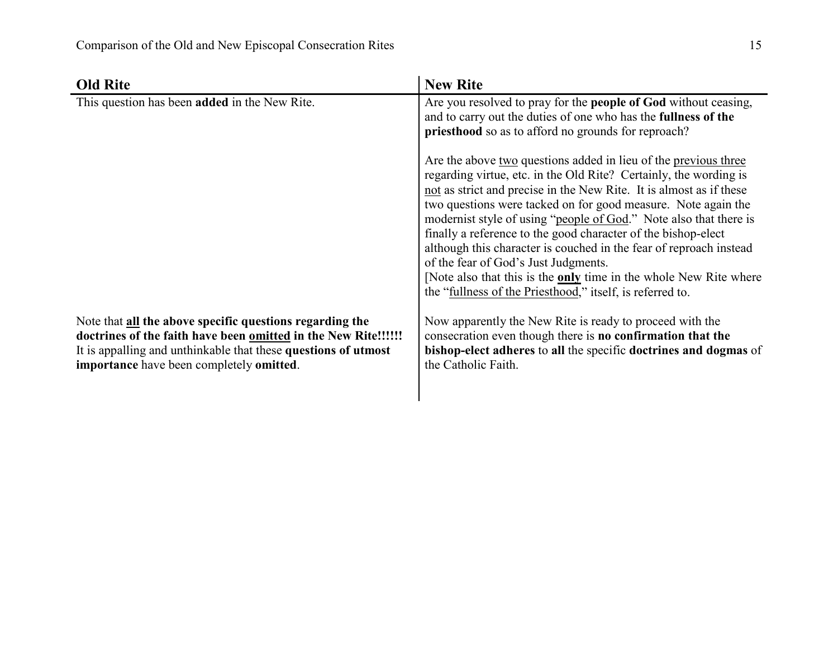| <b>Old Rite</b>                                                                                                                                                                                                                          | <b>New Rite</b>                                                                                                                                                                                                                                                                                                                                                                                                                                                                                                                                                                                                                                                           |
|------------------------------------------------------------------------------------------------------------------------------------------------------------------------------------------------------------------------------------------|---------------------------------------------------------------------------------------------------------------------------------------------------------------------------------------------------------------------------------------------------------------------------------------------------------------------------------------------------------------------------------------------------------------------------------------------------------------------------------------------------------------------------------------------------------------------------------------------------------------------------------------------------------------------------|
| This question has been added in the New Rite.                                                                                                                                                                                            | Are you resolved to pray for the <b>people of God</b> without ceasing,<br>and to carry out the duties of one who has the <b>fullness of the</b><br>priesthood so as to afford no grounds for reproach?                                                                                                                                                                                                                                                                                                                                                                                                                                                                    |
|                                                                                                                                                                                                                                          | Are the above two questions added in lieu of the previous three<br>regarding virtue, etc. in the Old Rite? Certainly, the wording is<br>not as strict and precise in the New Rite. It is almost as if these<br>two questions were tacked on for good measure. Note again the<br>modernist style of using "people of God." Note also that there is<br>finally a reference to the good character of the bishop-elect<br>although this character is couched in the fear of reproach instead<br>of the fear of God's Just Judgments.<br>[Note also that this is the <b>only</b> time in the whole New Rite where<br>the "fullness of the Priesthood," itself, is referred to. |
| Note that all the above specific questions regarding the<br>doctrines of the faith have been omitted in the New Rite!!!!!!<br>It is appalling and unthinkable that these questions of utmost<br>importance have been completely omitted. | Now apparently the New Rite is ready to proceed with the<br>consecration even though there is no confirmation that the<br>bishop-elect adheres to all the specific doctrines and dogmas of<br>the Catholic Faith.                                                                                                                                                                                                                                                                                                                                                                                                                                                         |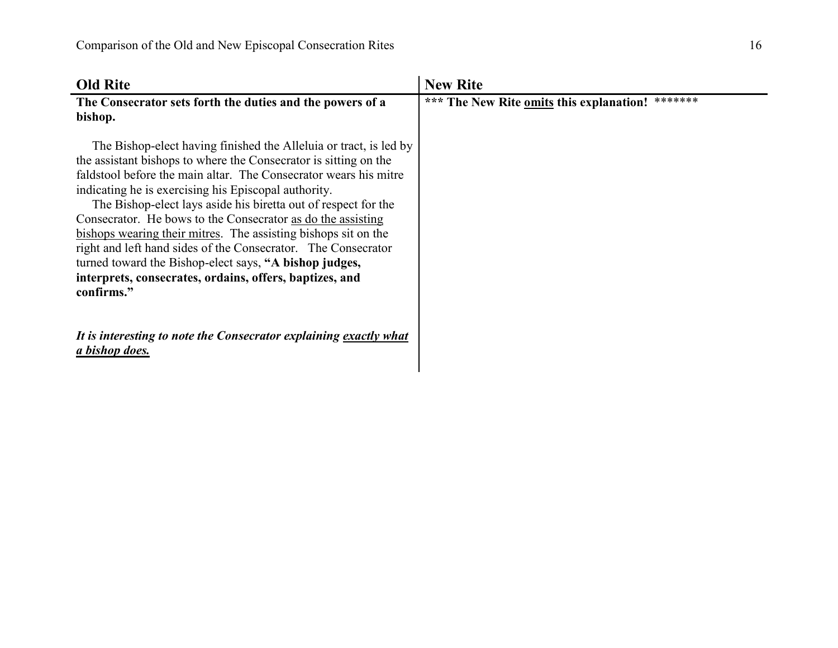| <b>Old Rite</b>                                                                                                                                                                                                                                                                                                                                                                                                                                                                                                                                                                                                                                                          | <b>New Rite</b>                                     |
|--------------------------------------------------------------------------------------------------------------------------------------------------------------------------------------------------------------------------------------------------------------------------------------------------------------------------------------------------------------------------------------------------------------------------------------------------------------------------------------------------------------------------------------------------------------------------------------------------------------------------------------------------------------------------|-----------------------------------------------------|
| The Consecrator sets forth the duties and the powers of a                                                                                                                                                                                                                                                                                                                                                                                                                                                                                                                                                                                                                | *******<br>*** The New Rite omits this explanation! |
| bishop.                                                                                                                                                                                                                                                                                                                                                                                                                                                                                                                                                                                                                                                                  |                                                     |
| The Bishop-elect having finished the Alleluia or tract, is led by<br>the assistant bishops to where the Consecrator is sitting on the<br>faldstool before the main altar. The Consecrator wears his mitre<br>indicating he is exercising his Episcopal authority.<br>The Bishop-elect lays aside his biretta out of respect for the<br>Consecrator. He bows to the Consecrator as do the assisting<br>bishops wearing their mitres. The assisting bishops sit on the<br>right and left hand sides of the Consecrator. The Consecrator<br>turned toward the Bishop-elect says, "A bishop judges,<br>interprets, consecrates, ordains, offers, baptizes, and<br>confirms." |                                                     |
| It is interesting to note the Consecrator explaining exactly what<br>a bishop does.                                                                                                                                                                                                                                                                                                                                                                                                                                                                                                                                                                                      |                                                     |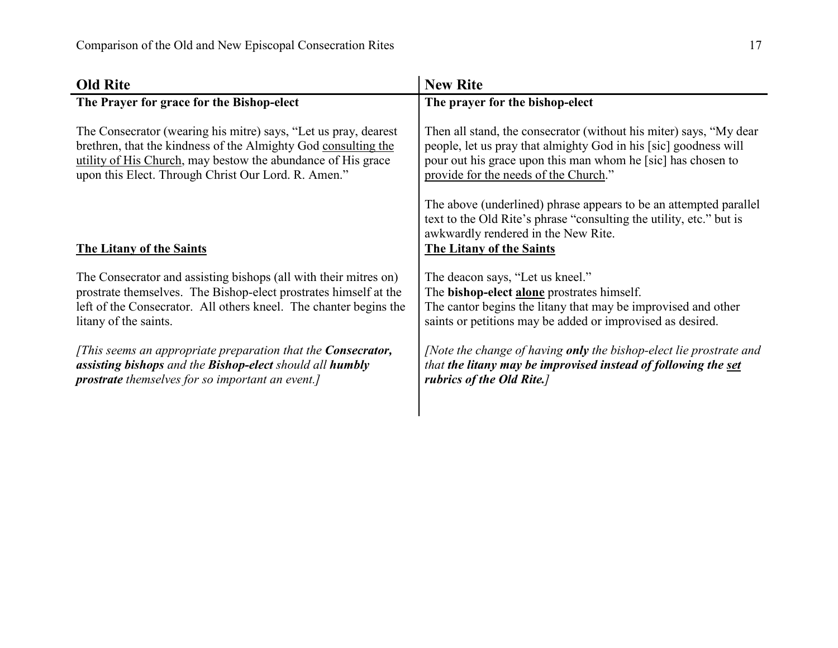| <b>Old Rite</b>                                                      | <b>New Rite</b>                                                                                                                                                                                             |
|----------------------------------------------------------------------|-------------------------------------------------------------------------------------------------------------------------------------------------------------------------------------------------------------|
| The Prayer for grace for the Bishop-elect                            | The prayer for the bishop-elect                                                                                                                                                                             |
| The Consecrator (wearing his mitre) says, "Let us pray, dearest      | Then all stand, the consecrator (without his miter) says, "My dear                                                                                                                                          |
| brethren, that the kindness of the Almighty God consulting the       | people, let us pray that almighty God in his [sic] goodness will                                                                                                                                            |
| utility of His Church, may bestow the abundance of His grace         | pour out his grace upon this man whom he [sic] has chosen to                                                                                                                                                |
| upon this Elect. Through Christ Our Lord. R. Amen."                  | provide for the needs of the Church."                                                                                                                                                                       |
| The Litany of the Saints                                             | The above (underlined) phrase appears to be an attempted parallel<br>text to the Old Rite's phrase "consulting the utility, etc." but is<br>awkwardly rendered in the New Rite.<br>The Litany of the Saints |
| The Consecrator and assisting bishops (all with their mitres on)     | The deacon says, "Let us kneel."                                                                                                                                                                            |
| prostrate themselves. The Bishop-elect prostrates himself at the     | The <b>bishop-elect alone</b> prostrates himself.                                                                                                                                                           |
| left of the Consecrator. All others kneel. The chanter begins the    | The cantor begins the litany that may be improvised and other                                                                                                                                               |
| litany of the saints.                                                | saints or petitions may be added or improvised as desired.                                                                                                                                                  |
| [This seems an appropriate preparation that the <b>Consecrator</b> , | [Note the change of having only the bishop-elect lie prostrate and                                                                                                                                          |
| assisting bishops and the Bishop-elect should all humbly             | that the litany may be improvised instead of following the set                                                                                                                                              |
| prostrate themselves for so important an event.]                     | rubrics of the Old Rite.]                                                                                                                                                                                   |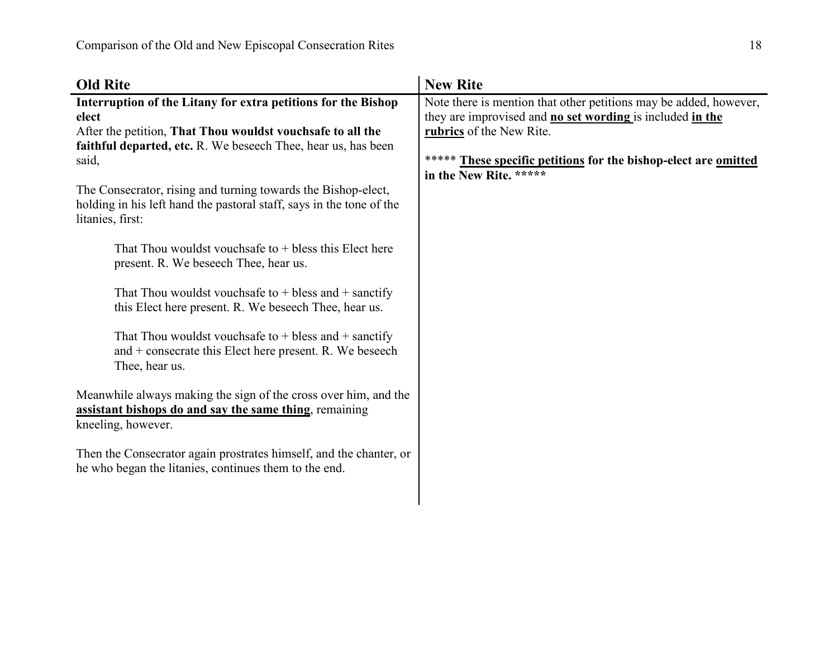| <b>Old Rite</b>                                                                                                                                                                                                                                                                                                                                                                                                                                                                                                                                                                                                                                                                                                                                                                                                                                                                                       | <b>New Rite</b>                                                                                                                                                                                                                                            |
|-------------------------------------------------------------------------------------------------------------------------------------------------------------------------------------------------------------------------------------------------------------------------------------------------------------------------------------------------------------------------------------------------------------------------------------------------------------------------------------------------------------------------------------------------------------------------------------------------------------------------------------------------------------------------------------------------------------------------------------------------------------------------------------------------------------------------------------------------------------------------------------------------------|------------------------------------------------------------------------------------------------------------------------------------------------------------------------------------------------------------------------------------------------------------|
| Interruption of the Litany for extra petitions for the Bishop<br>elect<br>After the petition, That Thou wouldst vouchsafe to all the<br>faithful departed, etc. R. We beseech Thee, hear us, has been<br>said,<br>The Consecrator, rising and turning towards the Bishop-elect,<br>holding in his left hand the pastoral staff, says in the tone of the<br>litanies, first:<br>That Thou wouldst vouchsafe to $+$ bless this Elect here<br>present. R. We beseech Thee, hear us.<br>That Thou wouldst vouchsafe to $+$ bless and $+$ sanctify<br>this Elect here present. R. We beseech Thee, hear us.<br>That Thou wouldst vouchsafe to $+$ bless and $+$ sanctify<br>and $+$ consecrate this Elect here present. R. We beseech<br>Thee, hear us.<br>Meanwhile always making the sign of the cross over him, and the<br>assistant bishops do and say the same thing, remaining<br>kneeling, however. | Note there is mention that other petitions may be added, however,<br>they are improvised and no set wording is included in the<br>rubrics of the New Rite.<br>These specific petitions for the bishop-elect are omitted<br>*****<br>in the New Rite. ***** |
| Then the Consecrator again prostrates himself, and the chanter, or<br>he who began the litanies, continues them to the end.                                                                                                                                                                                                                                                                                                                                                                                                                                                                                                                                                                                                                                                                                                                                                                           |                                                                                                                                                                                                                                                            |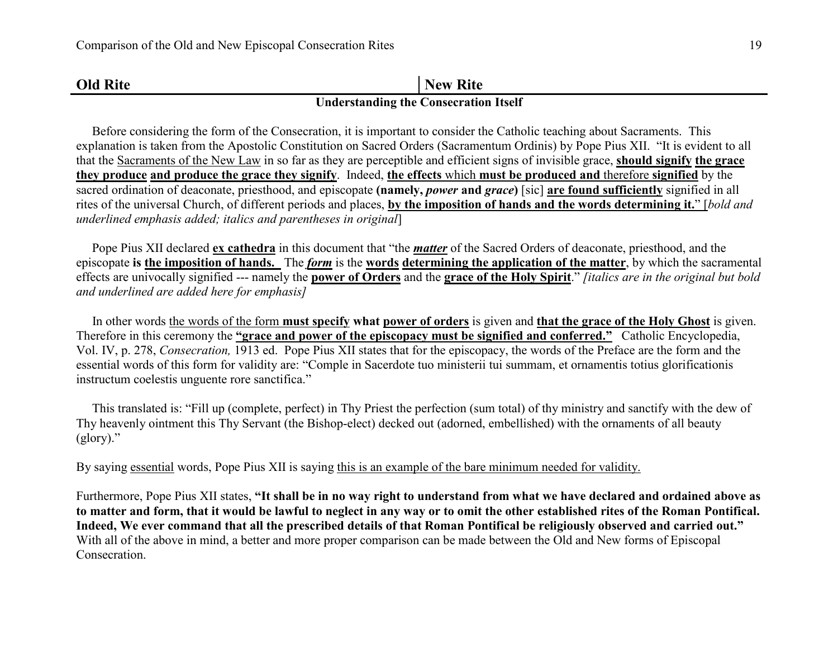| <b>Old Rite</b> | New Rite                                     |
|-----------------|----------------------------------------------|
|                 | <b>Understanding the Consecration Itself</b> |

## Before considering the form of the Consecration, it is important to consider the Catholic teaching about Sacraments. This explanation is taken from the Apostolic Constitution on Sacred Orders (Sacramentum Ordinis) by Pope Pius XII. "It is evident to all that the Sacraments of the New Law in so far as they are perceptible and efficient signs of invisible grace, **should signify the grace they produce and produce the grace they signify**. Indeed, **the effects** which **must be produced and** therefore **signified** by the sacred ordination of deaconate, priesthood, and episcopate **(namely,** *power* **and** *grace***)** [sic] **are found sufficiently** signified in all rites of the universal Church, of different periods and places, **by the imposition of hands and the words determining it.**" [*bold and*

*underlined emphasis added; italics and parentheses in original*]

 Pope Pius XII declared **ex cathedra** in this document that "the *matter* of the Sacred Orders of deaconate, priesthood, and the episcopate **is the imposition of hands.** The *form* is the **words determining the application of the matter**, by which the sacramental effects are univocally signified --- namely the **power of Orders** and the **grace of the Holy Spirit**." *[italics are in the original but bold and underlined are added here for emphasis]* 

In other words the words of the form **must specify** what **power of orders** is given and **that the grace of the Holy Ghost** is given. Therefore in this ceremony the **"grace and power of the episcopacy must be signified and conferred."** Catholic Encyclopedia, Vol. IV, p. 278, *Consecration,* 1913 ed. Pope Pius XII states that for the episcopacy, the words of the Preface are the form and theessential words of this form for validity are: "Comple in Sacerdote tuo ministerii tui summam, et ornamentis totius glorificationis instructum coelestis unguente rore sanctifica."

 This translated is: "Fill up (complete, perfect) in Thy Priest the perfection (sum total) of thy ministry and sanctify with the dew of Thy heavenly ointment this Thy Servant (the Bishop-elect) decked out (adorned, embellished) with the ornaments of all beauty (glory)."

By saying essential words, Pope Pius XII is saying this is an example of the bare minimum needed for validity.

Furthermore, Pope Pius XII states, **"It shall be in no way right to understand from what we have declared and ordained above as to matter and form, that it would be lawful to neglect in any way or to omit the other established rites of the Roman Pontifical. Indeed, We ever command that all the prescribed details of that Roman Pontifical be religiously observed and carried out."** With all of the above in mind, a better and more proper comparison can be made between the Old and New forms of Episcopal Consecration.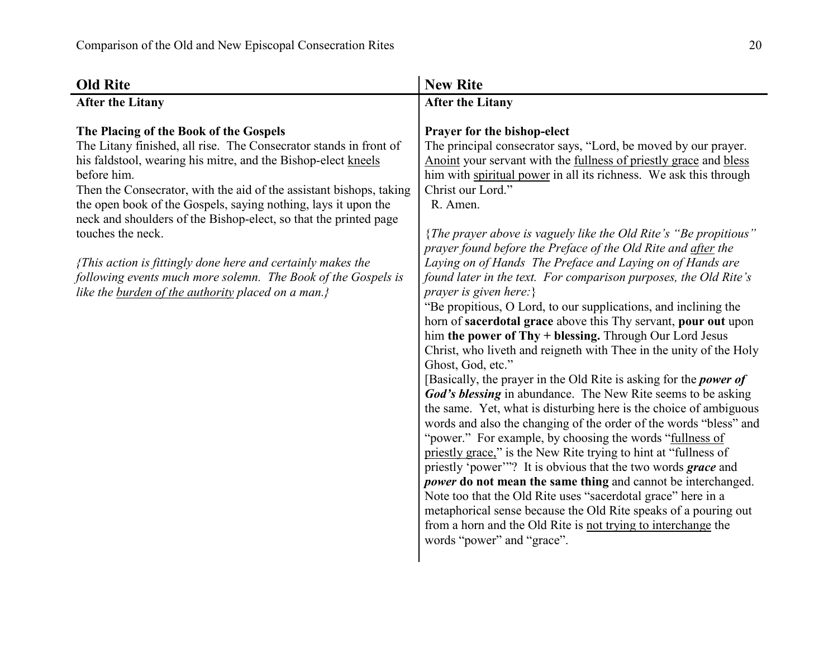| <b>Old Rite</b>                                                                                                                                                                                                                                                                                                                                                                                                                                                                                                                                                                                                     | <b>New Rite</b>                                                                                                                                                                                                                                                                                                                                                                                                                                                                                                                                                                                                                                                                                                                                                                                                                                                                                                                                                                                                                                                                                                                                                                                                                                                                                                                                                                                                                                                                                                                                                                                                                                             |
|---------------------------------------------------------------------------------------------------------------------------------------------------------------------------------------------------------------------------------------------------------------------------------------------------------------------------------------------------------------------------------------------------------------------------------------------------------------------------------------------------------------------------------------------------------------------------------------------------------------------|-------------------------------------------------------------------------------------------------------------------------------------------------------------------------------------------------------------------------------------------------------------------------------------------------------------------------------------------------------------------------------------------------------------------------------------------------------------------------------------------------------------------------------------------------------------------------------------------------------------------------------------------------------------------------------------------------------------------------------------------------------------------------------------------------------------------------------------------------------------------------------------------------------------------------------------------------------------------------------------------------------------------------------------------------------------------------------------------------------------------------------------------------------------------------------------------------------------------------------------------------------------------------------------------------------------------------------------------------------------------------------------------------------------------------------------------------------------------------------------------------------------------------------------------------------------------------------------------------------------------------------------------------------------|
| <b>After the Litany</b>                                                                                                                                                                                                                                                                                                                                                                                                                                                                                                                                                                                             | <b>After the Litany</b>                                                                                                                                                                                                                                                                                                                                                                                                                                                                                                                                                                                                                                                                                                                                                                                                                                                                                                                                                                                                                                                                                                                                                                                                                                                                                                                                                                                                                                                                                                                                                                                                                                     |
| The Placing of the Book of the Gospels<br>The Litany finished, all rise. The Consecrator stands in front of<br>his faldstool, wearing his mitre, and the Bishop-elect kneels<br>before him.<br>Then the Consecrator, with the aid of the assistant bishops, taking<br>the open book of the Gospels, saying nothing, lays it upon the<br>neck and shoulders of the Bishop-elect, so that the printed page<br>touches the neck.<br>{This action is fittingly done here and certainly makes the<br>following events much more solemn. The Book of the Gospels is<br>like the burden of the authority placed on a man.} | Prayer for the bishop-elect<br>The principal consecrator says, "Lord, be moved by our prayer.<br>Anoint your servant with the fullness of priestly grace and bless<br>him with spiritual power in all its richness. We ask this through<br>Christ our Lord."<br>R. Amen.<br>{The prayer above is vaguely like the Old Rite's "Be propitious"<br>prayer found before the Preface of the Old Rite and after the<br>Laying on of Hands The Preface and Laying on of Hands are<br>found later in the text. For comparison purposes, the Old Rite's<br>prayer is given here:}<br>"Be propitious, O Lord, to our supplications, and inclining the<br>horn of sacerdotal grace above this Thy servant, pour out upon<br>him the power of Thy + blessing. Through Our Lord Jesus<br>Christ, who liveth and reigneth with Thee in the unity of the Holy<br>Ghost, God, etc."<br>[Basically, the prayer in the Old Rite is asking for the <i>power of</i><br>God's blessing in abundance. The New Rite seems to be asking<br>the same. Yet, what is disturbing here is the choice of ambiguous<br>words and also the changing of the order of the words "bless" and<br>"power." For example, by choosing the words "fullness of<br>priestly grace." is the New Rite trying to hint at "fullness of<br>priestly 'power'"? It is obvious that the two words grace and<br>power do not mean the same thing and cannot be interchanged.<br>Note too that the Old Rite uses "sacerdotal grace" here in a<br>metaphorical sense because the Old Rite speaks of a pouring out<br>from a horn and the Old Rite is not trying to interchange the<br>words "power" and "grace". |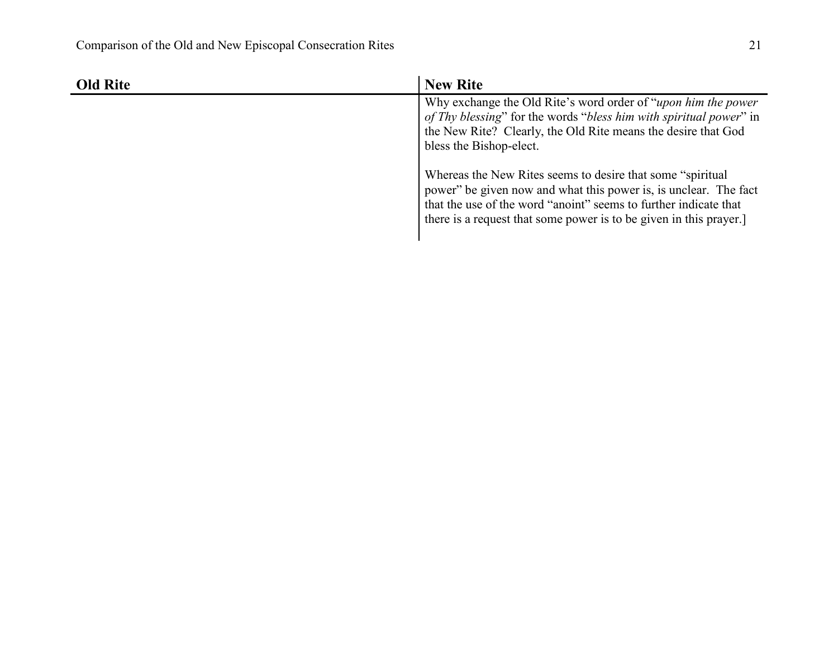| <b>Old Rite</b> | <b>New Rite</b>                                                                                                                                                                                                                                                          |
|-----------------|--------------------------------------------------------------------------------------------------------------------------------------------------------------------------------------------------------------------------------------------------------------------------|
|                 | Why exchange the Old Rite's word order of " <i>upon him the power</i><br>of Thy blessing" for the words "bless him with spiritual power" in<br>the New Rite? Clearly, the Old Rite means the desire that God<br>bless the Bishop-elect.                                  |
|                 | Whereas the New Rites seems to desire that some "spiritual"<br>power" be given now and what this power is, is unclear. The fact<br>that the use of the word "anoint" seems to further indicate that<br>there is a request that some power is to be given in this prayer. |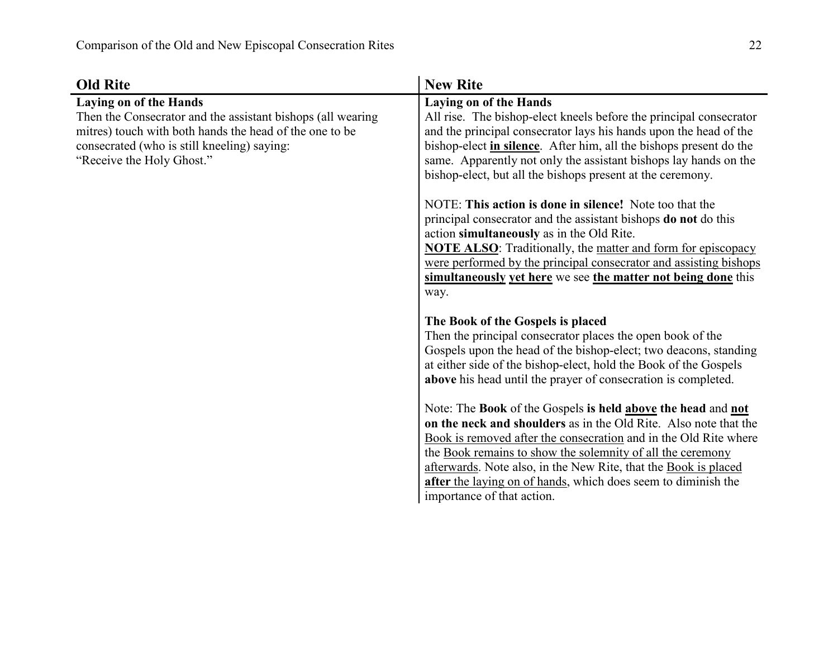| <b>Old Rite</b>                                                                                                                                                                                                                     | <b>New Rite</b>                                                                                                                                                                                                                                                                                                                                                                                                                      |
|-------------------------------------------------------------------------------------------------------------------------------------------------------------------------------------------------------------------------------------|--------------------------------------------------------------------------------------------------------------------------------------------------------------------------------------------------------------------------------------------------------------------------------------------------------------------------------------------------------------------------------------------------------------------------------------|
| <b>Laying on of the Hands</b><br>Then the Consecrator and the assistant bishops (all wearing<br>mitres) touch with both hands the head of the one to be<br>consecrated (who is still kneeling) saying:<br>"Receive the Holy Ghost." | <b>Laying on of the Hands</b><br>All rise. The bishop-elect kneels before the principal consecrator<br>and the principal consecrator lays his hands upon the head of the<br>bishop-elect <i>in silence</i> . After him, all the bishops present do the<br>same. Apparently not only the assistant bishops lay hands on the<br>bishop-elect, but all the bishops present at the ceremony.                                             |
|                                                                                                                                                                                                                                     | NOTE: This action is done in silence! Note too that the<br>principal consecrator and the assistant bishops <b>do not</b> do this<br>action simultaneously as in the Old Rite.<br><b>NOTE ALSO:</b> Traditionally, the matter and form for episcopacy<br>were performed by the principal consecrator and assisting bishops<br>simultaneously yet here we see the matter not being done this<br>way.                                   |
|                                                                                                                                                                                                                                     | The Book of the Gospels is placed<br>Then the principal consecrator places the open book of the<br>Gospels upon the head of the bishop-elect; two deacons, standing<br>at either side of the bishop-elect, hold the Book of the Gospels<br>above his head until the prayer of consecration is completed.                                                                                                                             |
|                                                                                                                                                                                                                                     | Note: The Book of the Gospels is held above the head and not<br>on the neck and shoulders as in the Old Rite. Also note that the<br>Book is removed after the consecration and in the Old Rite where<br>the Book remains to show the solemnity of all the ceremony<br>afterwards. Note also, in the New Rite, that the Book is placed<br>after the laying on of hands, which does seem to diminish the<br>importance of that action. |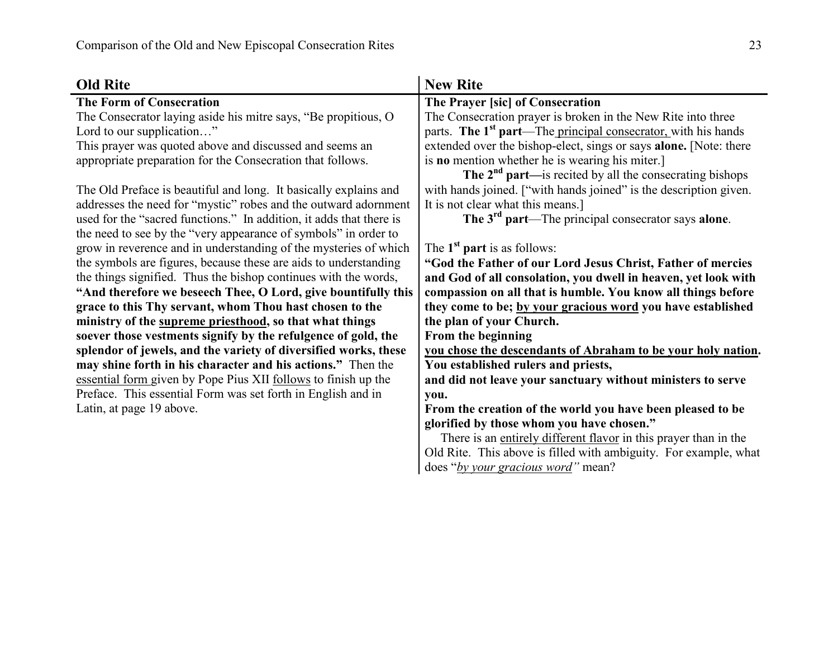| <b>Old Rite</b>                                                     | <b>New Rite</b>                                                           |
|---------------------------------------------------------------------|---------------------------------------------------------------------------|
| <b>The Form of Consecration</b>                                     | The Prayer [sic] of Consecration                                          |
| The Consecrator laying aside his mitre says, "Be propitious, O      | The Consecration prayer is broken in the New Rite into three              |
| Lord to our supplication"                                           | parts. The 1 <sup>st</sup> part—The principal consecrator, with his hands |
| This prayer was quoted above and discussed and seems an             | extended over the bishop-elect, sings or says alone. [Note: there         |
| appropriate preparation for the Consecration that follows.          | is <b>no</b> mention whether he is wearing his miter.                     |
|                                                                     | The $2^{nd}$ part—is recited by all the consecrating bishops              |
| The Old Preface is beautiful and long. It basically explains and    | with hands joined. ["with hands joined" is the description given.         |
| addresses the need for "mystic" robes and the outward adornment     | It is not clear what this means.]                                         |
| used for the "sacred functions." In addition, it adds that there is | The 3 <sup>rd</sup> part—The principal consecrator says alone.            |
| the need to see by the "very appearance of symbols" in order to     |                                                                           |
| grow in reverence and in understanding of the mysteries of which    | The $1st$ part is as follows:                                             |
| the symbols are figures, because these are aids to understanding    | "God the Father of our Lord Jesus Christ, Father of mercies               |
| the things signified. Thus the bishop continues with the words,     | and God of all consolation, you dwell in heaven, yet look with            |
| "And therefore we beseech Thee, O Lord, give bountifully this       | compassion on all that is humble. You know all things before              |
| grace to this Thy servant, whom Thou hast chosen to the             | they come to be; by your gracious word you have established               |
| ministry of the supreme priesthood, so that what things             | the plan of your Church.                                                  |
| soever those vestments signify by the refulgence of gold, the       | From the beginning                                                        |
| splendor of jewels, and the variety of diversified works, these     | you chose the descendants of Abraham to be your holy nation.              |
| may shine forth in his character and his actions." Then the         | You established rulers and priests,                                       |
| essential form given by Pope Pius XII follows to finish up the      | and did not leave your sanctuary without ministers to serve               |
| Preface. This essential Form was set forth in English and in        | you.                                                                      |
| Latin, at page 19 above.                                            | From the creation of the world you have been pleased to be                |
|                                                                     | glorified by those whom you have chosen."                                 |
|                                                                     | There is an entirely different flavor in this prayer than in the          |
|                                                                     | Old Rite. This above is filled with ambiguity. For example, what          |
|                                                                     | does "by your gracious word" mean?                                        |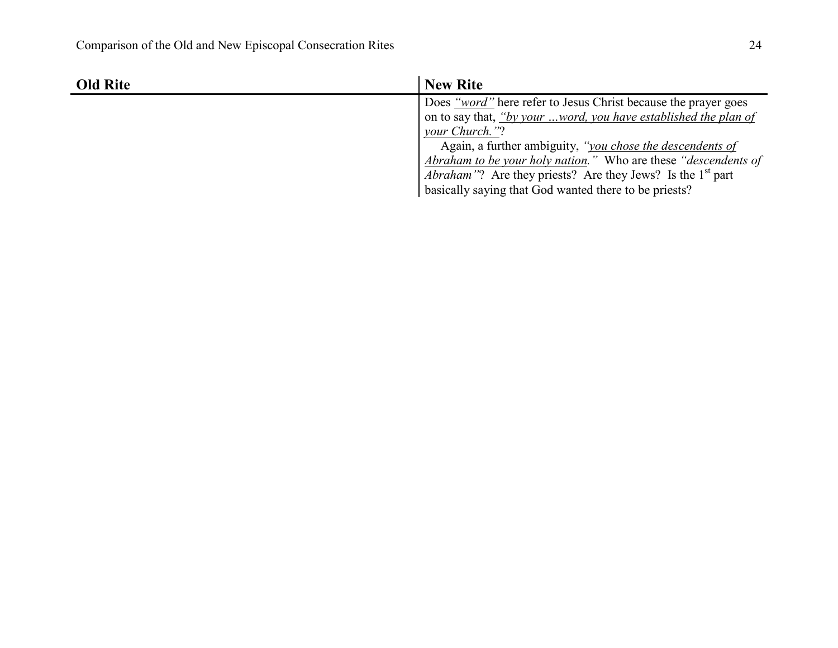| <b>Old Rite</b> | <b>New Rite</b>                                                                |
|-----------------|--------------------------------------------------------------------------------|
|                 | Does "word" here refer to Jesus Christ because the prayer goes                 |
|                 | on to say that, "by your word, you have established the plan of                |
|                 | your Church."?                                                                 |
|                 | Again, a further ambiguity, "you chose the descendents of                      |
|                 | Abraham to be your holy nation." Who are these "descendents of                 |
|                 | <i>Abraham</i> "? Are they priests? Are they Jews? Is the 1 <sup>st</sup> part |
|                 | basically saying that God wanted there to be priests?                          |
|                 |                                                                                |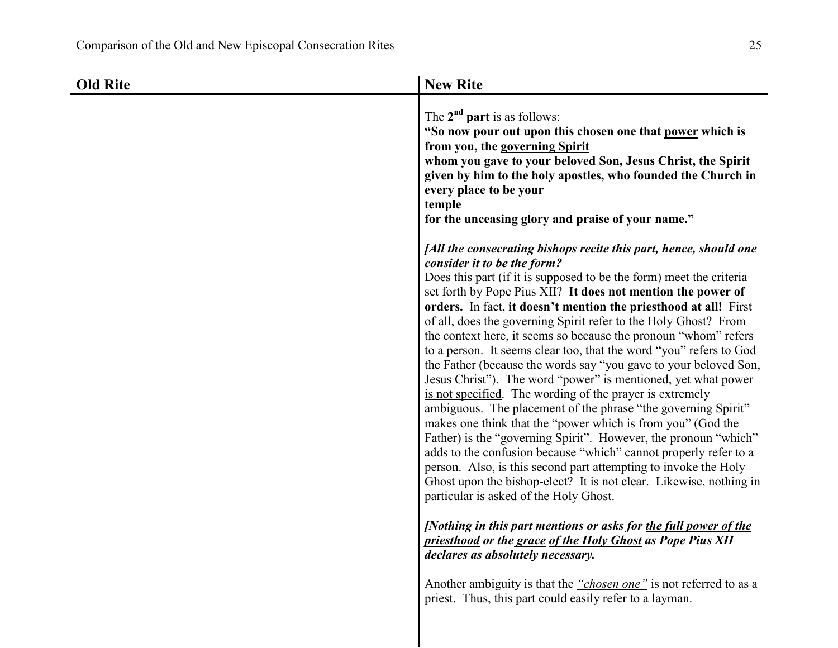| <b>Old Rite</b> | <b>New Rite</b>                                                                                                                                                                                                                                                                                                                                                                                                                                                                                                                                                                                                                                                                                                                                                                                                                                                                                                                                                                                                                                                                                                                                                                    |
|-----------------|------------------------------------------------------------------------------------------------------------------------------------------------------------------------------------------------------------------------------------------------------------------------------------------------------------------------------------------------------------------------------------------------------------------------------------------------------------------------------------------------------------------------------------------------------------------------------------------------------------------------------------------------------------------------------------------------------------------------------------------------------------------------------------------------------------------------------------------------------------------------------------------------------------------------------------------------------------------------------------------------------------------------------------------------------------------------------------------------------------------------------------------------------------------------------------|
|                 | The $2^{nd}$ part is as follows:<br>"So now pour out upon this chosen one that power which is<br>from you, the governing Spirit<br>whom you gave to your beloved Son, Jesus Christ, the Spirit<br>given by him to the holy apostles, who founded the Church in<br>every place to be your<br>temple<br>for the unceasing glory and praise of your name."                                                                                                                                                                                                                                                                                                                                                                                                                                                                                                                                                                                                                                                                                                                                                                                                                            |
|                 | [All the consecrating bishops recite this part, hence, should one<br>consider it to be the form?<br>Does this part (if it is supposed to be the form) meet the criteria<br>set forth by Pope Pius XII? It does not mention the power of<br>orders. In fact, it doesn't mention the priesthood at all! First<br>of all, does the governing Spirit refer to the Holy Ghost? From<br>the context here, it seems so because the pronoun "whom" refers<br>to a person. It seems clear too, that the word "you" refers to God<br>the Father (because the words say "you gave to your beloved Son,<br>Jesus Christ"). The word "power" is mentioned, yet what power<br>is not specified. The wording of the prayer is extremely<br>ambiguous. The placement of the phrase "the governing Spirit"<br>makes one think that the "power which is from you" (God the<br>Father) is the "governing Spirit". However, the pronoun "which"<br>adds to the confusion because "which" cannot properly refer to a<br>person. Also, is this second part attempting to invoke the Holy<br>Ghost upon the bishop-elect? It is not clear. Likewise, nothing in<br>particular is asked of the Holy Ghost. |
|                 | [Nothing in this part mentions or asks for the full power of the<br>priesthood or the grace of the Holy Ghost as Pope Pius XII<br>declares as absolutely necessary.                                                                                                                                                                                                                                                                                                                                                                                                                                                                                                                                                                                                                                                                                                                                                                                                                                                                                                                                                                                                                |
|                 | Another ambiguity is that the "chosen one" is not referred to as a<br>priest. Thus, this part could easily refer to a layman.                                                                                                                                                                                                                                                                                                                                                                                                                                                                                                                                                                                                                                                                                                                                                                                                                                                                                                                                                                                                                                                      |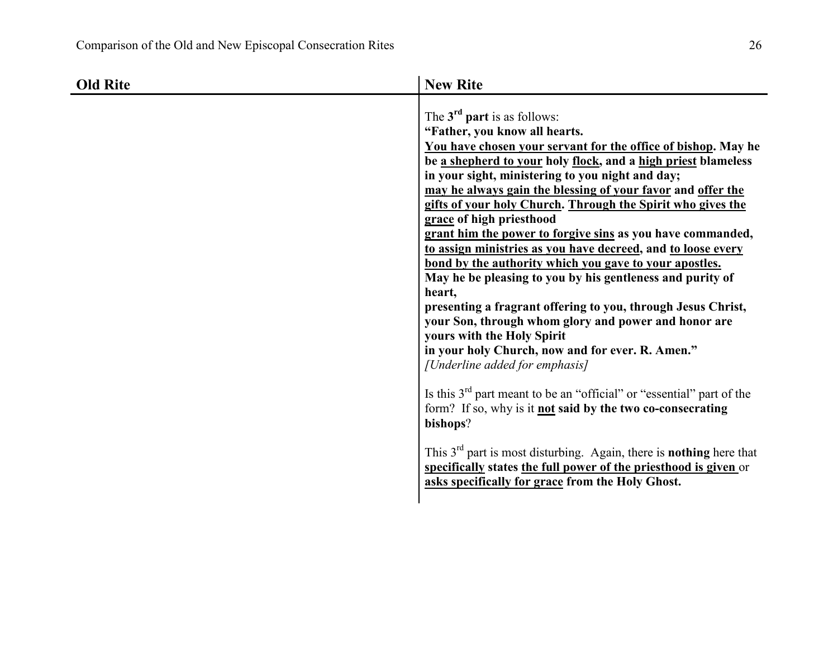| <b>Old Rite</b> | <b>New Rite</b>                                                                                                                                                                                                                                                                                                                                                                                                                                                                                                                                                                                                                                                                                                                                                                                                                                                                                                                                                                                                                                                                                                                                                                                                                                                                               |
|-----------------|-----------------------------------------------------------------------------------------------------------------------------------------------------------------------------------------------------------------------------------------------------------------------------------------------------------------------------------------------------------------------------------------------------------------------------------------------------------------------------------------------------------------------------------------------------------------------------------------------------------------------------------------------------------------------------------------------------------------------------------------------------------------------------------------------------------------------------------------------------------------------------------------------------------------------------------------------------------------------------------------------------------------------------------------------------------------------------------------------------------------------------------------------------------------------------------------------------------------------------------------------------------------------------------------------|
|                 | The $3rd$ part is as follows:<br>"Father, you know all hearts.<br>You have chosen your servant for the office of bishop. May he<br>be a shepherd to your holy flock, and a high priest blameless<br>in your sight, ministering to you night and day;<br>may he always gain the blessing of your favor and offer the<br>gifts of your holy Church. Through the Spirit who gives the<br>grace of high priesthood<br>grant him the power to forgive sins as you have commanded,<br>to assign ministries as you have decreed, and to loose every<br>bond by the authority which you gave to your apostles.<br>May he be pleasing to you by his gentleness and purity of<br>heart,<br>presenting a fragrant offering to you, through Jesus Christ,<br>your Son, through whom glory and power and honor are<br>yours with the Holy Spirit<br>in your holy Church, now and for ever. R. Amen."<br>[Underline added for emphasis]<br>Is this $3rd$ part meant to be an "official" or "essential" part of the<br>form? If so, why is it <b>not</b> said by the two co-consecrating<br>bishops?<br>This $3rd$ part is most disturbing. Again, there is <b>nothing</b> here that<br>specifically states the full power of the priesthood is given or<br>asks specifically for grace from the Holy Ghost. |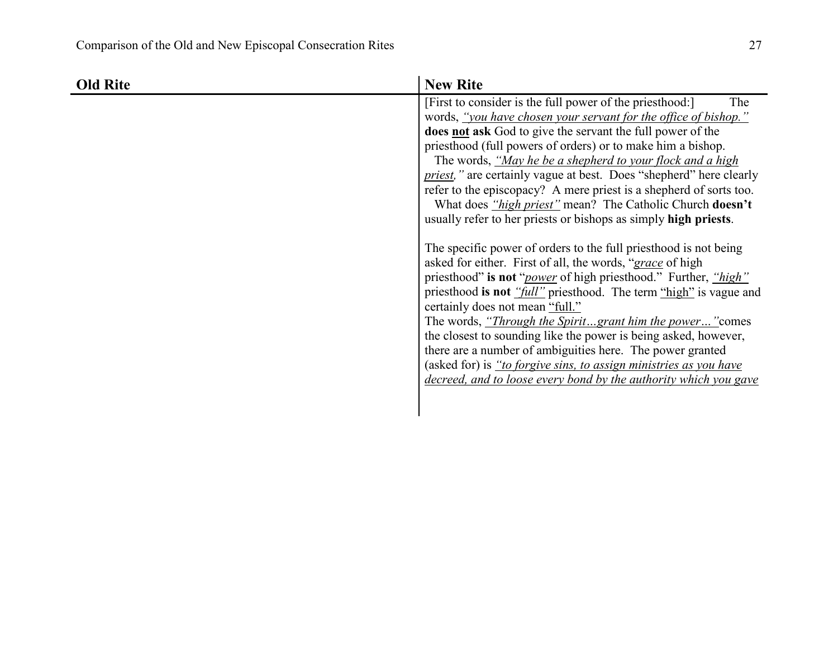| <b>Old Rite</b> | <b>New Rite</b>                                                                                                                                                                                                                                                                                                                            |
|-----------------|--------------------------------------------------------------------------------------------------------------------------------------------------------------------------------------------------------------------------------------------------------------------------------------------------------------------------------------------|
|                 | [First to consider is the full power of the priesthood:]<br>The<br>words, "you have chosen your servant for the office of bishop."<br>does not ask God to give the servant the full power of the<br>priesthood (full powers of orders) or to make him a bishop.<br>The words, "May he be a shepherd to your flock and a high               |
|                 | <i>priest,</i> " are certainly vague at best. Does "shepherd" here clearly<br>refer to the episcopacy? A mere priest is a shepherd of sorts too.<br>What does "high priest" mean? The Catholic Church doesn't<br>usually refer to her priests or bishops as simply high priests.                                                           |
|                 | The specific power of orders to the full priesthood is not being<br>asked for either. First of all, the words, "grace of high<br>priesthood" is not " <i>power</i> of high priesthood." Further, " <i>high</i> "<br>priesthood is not "full" priesthood. The term "high" is vague and<br>certainly does not mean "full."                   |
|                 | The words, " <i>Through the Spiritgrant him the power</i> " comes<br>the closest to sounding like the power is being asked, however,<br>there are a number of ambiguities here. The power granted<br>(asked for) is "to forgive sins, to assign ministries as you have<br>decreed, and to loose every bond by the authority which you gave |
|                 |                                                                                                                                                                                                                                                                                                                                            |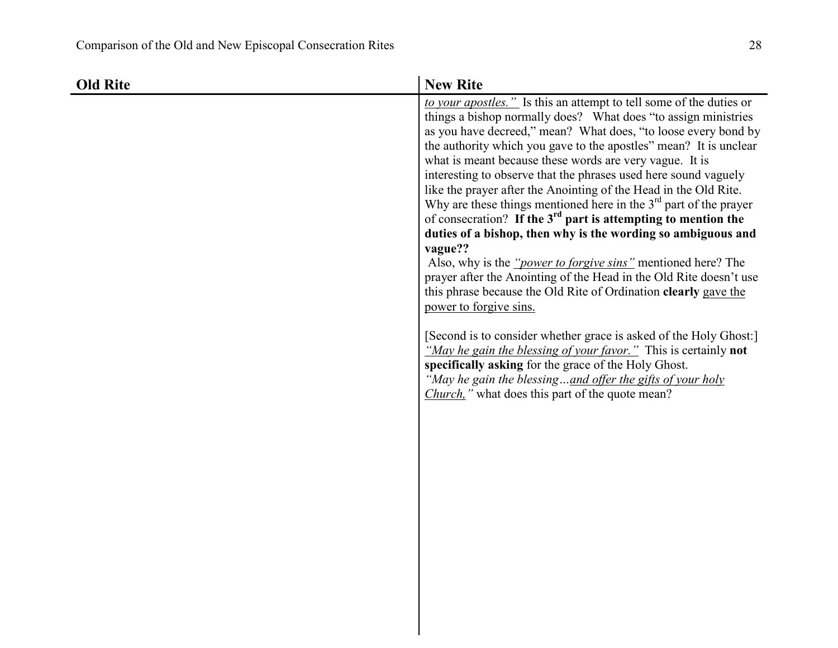| Old Rite | <b>New Rite</b>                                                                                                                                                                                                                                                                                                                                                                                                                                                                                                                                                                                                                                                                                                                                                                                                                                                                                                                                                                                                                                                                                                                                                                                                                                                                   |
|----------|-----------------------------------------------------------------------------------------------------------------------------------------------------------------------------------------------------------------------------------------------------------------------------------------------------------------------------------------------------------------------------------------------------------------------------------------------------------------------------------------------------------------------------------------------------------------------------------------------------------------------------------------------------------------------------------------------------------------------------------------------------------------------------------------------------------------------------------------------------------------------------------------------------------------------------------------------------------------------------------------------------------------------------------------------------------------------------------------------------------------------------------------------------------------------------------------------------------------------------------------------------------------------------------|
|          | to your apostles." Is this an attempt to tell some of the duties or<br>things a bishop normally does? What does "to assign ministries"<br>as you have decreed," mean? What does, "to loose every bond by<br>the authority which you gave to the apostles" mean? It is unclear<br>what is meant because these words are very vague. It is<br>interesting to observe that the phrases used here sound vaguely<br>like the prayer after the Anointing of the Head in the Old Rite.<br>Why are these things mentioned here in the $3rd$ part of the prayer<br>of consecration? If the 3 <sup>rd</sup> part is attempting to mention the<br>duties of a bishop, then why is the wording so ambiguous and<br>vague??<br>Also, why is the " <i>power to forgive sins</i> " mentioned here? The<br>prayer after the Anointing of the Head in the Old Rite doesn't use<br>this phrase because the Old Rite of Ordination <b>clearly</b> gave the<br>power to forgive sins.<br>[Second is to consider whether grace is asked of the Holy Ghost:]<br>"May he gain the blessing of your favor." This is certainly not<br>specifically asking for the grace of the Holy Ghost.<br>"May he gain the blessingand offer the gifts of your holy<br>Church," what does this part of the quote mean? |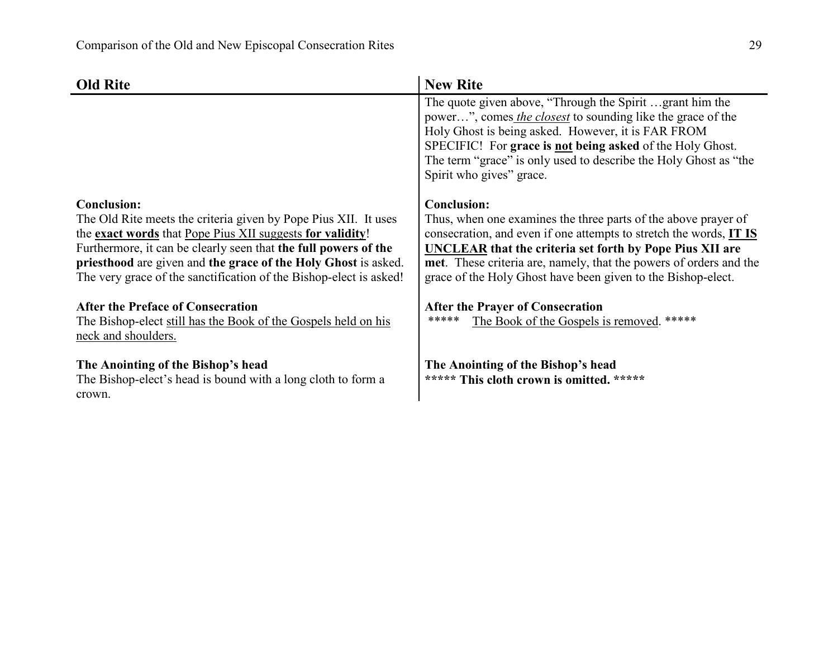| <b>Old Rite</b>                                                                                                                      | <b>New Rite</b>                                                                                                                                                                                                                                                                                                                            |
|--------------------------------------------------------------------------------------------------------------------------------------|--------------------------------------------------------------------------------------------------------------------------------------------------------------------------------------------------------------------------------------------------------------------------------------------------------------------------------------------|
|                                                                                                                                      | The quote given above, "Through the Spirit grant him the<br>power", comes the closest to sounding like the grace of the<br>Holy Ghost is being asked. However, it is FAR FROM<br>SPECIFIC! For grace is not being asked of the Holy Ghost.<br>The term "grace" is only used to describe the Holy Ghost as "the<br>Spirit who gives" grace. |
| <b>Conclusion:</b>                                                                                                                   | <b>Conclusion:</b>                                                                                                                                                                                                                                                                                                                         |
| The Old Rite meets the criteria given by Pope Pius XII. It uses<br>the exact words that Pope Pius XII suggests for validity!         | Thus, when one examines the three parts of the above prayer of<br>consecration, and even if one attempts to stretch the words, IT IS                                                                                                                                                                                                       |
| Furthermore, it can be clearly seen that the full powers of the                                                                      | <b>UNCLEAR that the criteria set forth by Pope Pius XII are</b>                                                                                                                                                                                                                                                                            |
| priesthood are given and the grace of the Holy Ghost is asked.<br>The very grace of the sanctification of the Bishop-elect is asked! | met. These criteria are, namely, that the powers of orders and the<br>grace of the Holy Ghost have been given to the Bishop-elect.                                                                                                                                                                                                         |
| <b>After the Preface of Consecration</b>                                                                                             | <b>After the Prayer of Consecration</b>                                                                                                                                                                                                                                                                                                    |
| The Bishop-elect still has the Book of the Gospels held on his<br>neck and shoulders.                                                | *****<br>The Book of the Gospels is removed. *****                                                                                                                                                                                                                                                                                         |
| The Anointing of the Bishop's head                                                                                                   | The Anointing of the Bishop's head                                                                                                                                                                                                                                                                                                         |
| The Bishop-elect's head is bound with a long cloth to form a<br>crown.                                                               | ***** This cloth crown is omitted. *****                                                                                                                                                                                                                                                                                                   |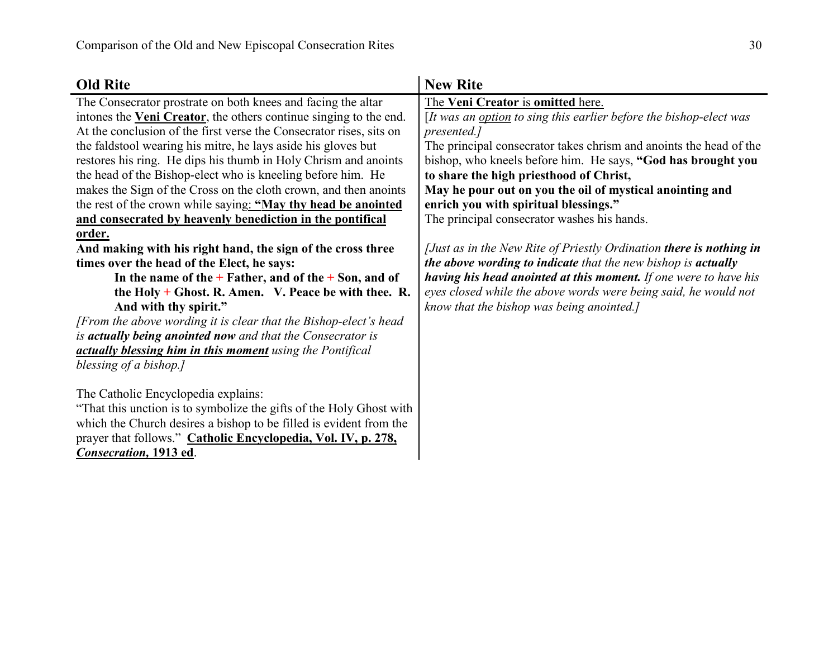| <b>Old Rite</b>                                                     | <b>New Rite</b>                                                     |
|---------------------------------------------------------------------|---------------------------------------------------------------------|
| The Consecrator prostrate on both knees and facing the altar        | The Veni Creator is omitted here.                                   |
| intones the Veni Creator, the others continue singing to the end.   | [It was an option to sing this earlier before the bishop-elect was  |
| At the conclusion of the first verse the Consecrator rises, sits on | presented.]                                                         |
| the faldstool wearing his mitre, he lays aside his gloves but       | The principal consecrator takes chrism and anoints the head of the  |
| restores his ring. He dips his thumb in Holy Chrism and anoints     | bishop, who kneels before him. He says, "God has brought you        |
| the head of the Bishop-elect who is kneeling before him. He         | to share the high priesthood of Christ,                             |
| makes the Sign of the Cross on the cloth crown, and then anoints    | May he pour out on you the oil of mystical anointing and            |
| the rest of the crown while saying: "May thy head be anointed       | enrich you with spiritual blessings."                               |
| and consecrated by heavenly benediction in the pontifical           | The principal consecrator washes his hands.                         |
| order.                                                              |                                                                     |
| And making with his right hand, the sign of the cross three         | [Just as in the New Rite of Priestly Ordination there is nothing in |
| times over the head of the Elect, he says:                          | the above wording to indicate that the new bishop is actually       |
| In the name of the $+$ Father, and of the $+$ Son, and of           | having his head anointed at this moment. If one were to have his    |
| the Holy $+$ Ghost. R. Amen. V. Peace be with thee. R.              | eyes closed while the above words were being said, he would not     |
| And with thy spirit."                                               | know that the bishop was being anointed.]                           |
| [From the above wording it is clear that the Bishop-elect's head    |                                                                     |
| is actually being anointed now and that the Consecrator is          |                                                                     |
| actually blessing him in this moment using the Pontifical           |                                                                     |
| blessing of a bishop.]                                              |                                                                     |
|                                                                     |                                                                     |
| The Catholic Encyclopedia explains:                                 |                                                                     |
| "That this unction is to symbolize the gifts of the Holy Ghost with |                                                                     |
| which the Church desires a bishop to be filled is evident from the  |                                                                     |
| prayer that follows." Catholic Encyclopedia, Vol. IV, p. 278,       |                                                                     |
| <b>Consecration</b> , 1913 ed.                                      |                                                                     |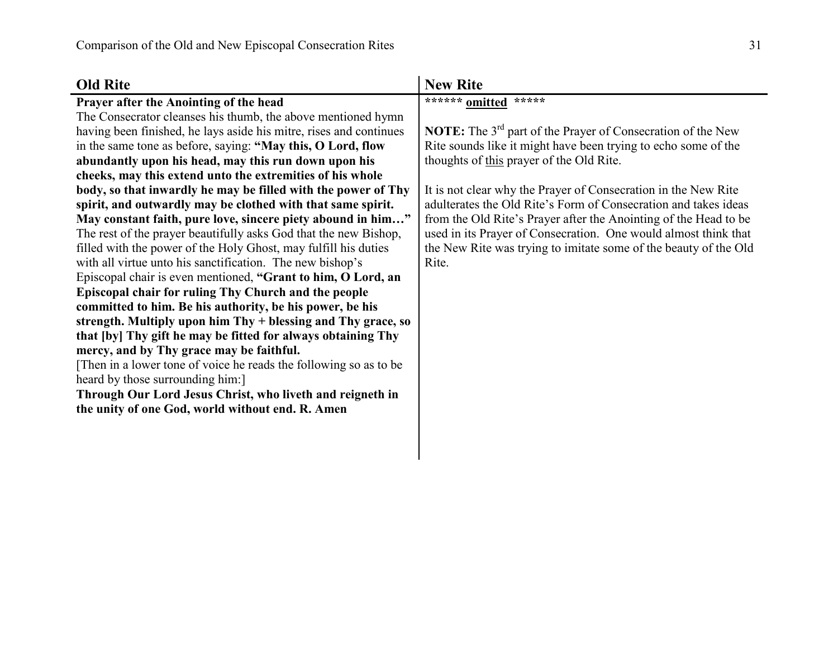| <b>Old Rite</b>                                                    | <b>New Rite</b>                                                                |
|--------------------------------------------------------------------|--------------------------------------------------------------------------------|
| Prayer after the Anointing of the head                             | ****** omitted<br>*****                                                        |
| The Consecrator cleanses his thumb, the above mentioned hymn       |                                                                                |
| having been finished, he lays aside his mitre, rises and continues | <b>NOTE:</b> The 3 <sup>rd</sup> part of the Prayer of Consecration of the New |
| in the same tone as before, saying: "May this, O Lord, flow        | Rite sounds like it might have been trying to echo some of the                 |
| abundantly upon his head, may this run down upon his               | thoughts of this prayer of the Old Rite.                                       |
| cheeks, may this extend unto the extremities of his whole          |                                                                                |
| body, so that inwardly he may be filled with the power of Thy      | It is not clear why the Prayer of Consecration in the New Rite                 |
| spirit, and outwardly may be clothed with that same spirit.        | adulterates the Old Rite's Form of Consecration and takes ideas                |
| May constant faith, pure love, sincere piety abound in him"        | from the Old Rite's Prayer after the Anointing of the Head to be               |
| The rest of the prayer beautifully asks God that the new Bishop,   | used in its Prayer of Consecration. One would almost think that                |
| filled with the power of the Holy Ghost, may fulfill his duties    | the New Rite was trying to imitate some of the beauty of the Old               |
| with all virtue unto his sanctification. The new bishop's          | Rite.                                                                          |
| Episcopal chair is even mentioned, "Grant to him, O Lord, an       |                                                                                |
| Episcopal chair for ruling Thy Church and the people               |                                                                                |
| committed to him. Be his authority, be his power, be his           |                                                                                |
| strength. Multiply upon him Thy + blessing and Thy grace, so       |                                                                                |
| that [by] Thy gift he may be fitted for always obtaining Thy       |                                                                                |
| mercy, and by Thy grace may be faithful.                           |                                                                                |
| Then in a lower tone of voice he reads the following so as to be   |                                                                                |
| heard by those surrounding him:                                    |                                                                                |
| Through Our Lord Jesus Christ, who liveth and reigneth in          |                                                                                |
| the unity of one God, world without end. R. Amen                   |                                                                                |
|                                                                    |                                                                                |
|                                                                    |                                                                                |
|                                                                    |                                                                                |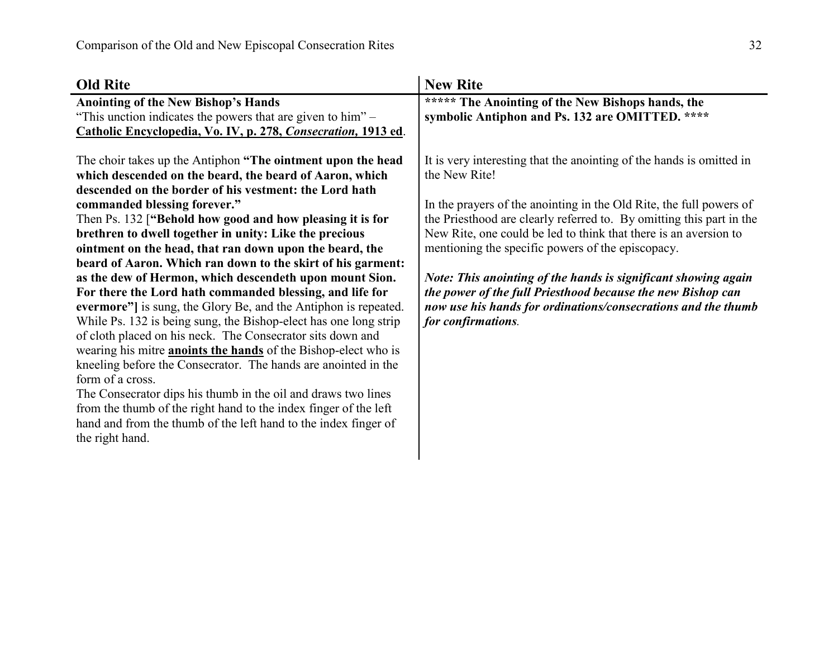| <b>Old Rite</b>                                                                                                                                                                                                                                                                                                                                                                                                                                                                                                                                                                                                                                                                                                                                                                                                                                                                                                                                                                                                                                                                                                                                                                         | <b>New Rite</b>                                                                                                                                                                                                                                                                                                                                                                                                                                                                                                                                                                       |
|-----------------------------------------------------------------------------------------------------------------------------------------------------------------------------------------------------------------------------------------------------------------------------------------------------------------------------------------------------------------------------------------------------------------------------------------------------------------------------------------------------------------------------------------------------------------------------------------------------------------------------------------------------------------------------------------------------------------------------------------------------------------------------------------------------------------------------------------------------------------------------------------------------------------------------------------------------------------------------------------------------------------------------------------------------------------------------------------------------------------------------------------------------------------------------------------|---------------------------------------------------------------------------------------------------------------------------------------------------------------------------------------------------------------------------------------------------------------------------------------------------------------------------------------------------------------------------------------------------------------------------------------------------------------------------------------------------------------------------------------------------------------------------------------|
| <b>Anointing of the New Bishop's Hands</b>                                                                                                                                                                                                                                                                                                                                                                                                                                                                                                                                                                                                                                                                                                                                                                                                                                                                                                                                                                                                                                                                                                                                              | ***** The Anointing of the New Bishops hands, the                                                                                                                                                                                                                                                                                                                                                                                                                                                                                                                                     |
| "This unction indicates the powers that are given to him" –                                                                                                                                                                                                                                                                                                                                                                                                                                                                                                                                                                                                                                                                                                                                                                                                                                                                                                                                                                                                                                                                                                                             | symbolic Antiphon and Ps. 132 are OMITTED. ****                                                                                                                                                                                                                                                                                                                                                                                                                                                                                                                                       |
| Catholic Encyclopedia, Vo. IV, p. 278, Consecration, 1913 ed.                                                                                                                                                                                                                                                                                                                                                                                                                                                                                                                                                                                                                                                                                                                                                                                                                                                                                                                                                                                                                                                                                                                           |                                                                                                                                                                                                                                                                                                                                                                                                                                                                                                                                                                                       |
| The choir takes up the Antiphon "The ointment upon the head<br>which descended on the beard, the beard of Aaron, which<br>descended on the border of his vestment: the Lord hath<br>commanded blessing forever."<br>Then Ps. 132 ["Behold how good and how pleasing it is for<br>brethren to dwell together in unity: Like the precious<br>ointment on the head, that ran down upon the beard, the<br>beard of Aaron. Which ran down to the skirt of his garment:<br>as the dew of Hermon, which descendeth upon mount Sion.<br>For there the Lord hath commanded blessing, and life for<br>evermore"] is sung, the Glory Be, and the Antiphon is repeated.<br>While Ps. 132 is being sung, the Bishop-elect has one long strip<br>of cloth placed on his neck. The Consecrator sits down and<br>wearing his mitre <b>anoints the hands</b> of the Bishop-elect who is<br>kneeling before the Consecrator. The hands are anointed in the<br>form of a cross.<br>The Consecrator dips his thumb in the oil and draws two lines<br>from the thumb of the right hand to the index finger of the left<br>hand and from the thumb of the left hand to the index finger of<br>the right hand. | It is very interesting that the anointing of the hands is omitted in<br>the New Rite!<br>In the prayers of the anointing in the Old Rite, the full powers of<br>the Priesthood are clearly referred to. By omitting this part in the<br>New Rite, one could be led to think that there is an aversion to<br>mentioning the specific powers of the episcopacy.<br>Note: This anointing of the hands is significant showing again<br>the power of the full Priesthood because the new Bishop can<br>now use his hands for ordinations/consecrations and the thumb<br>for confirmations. |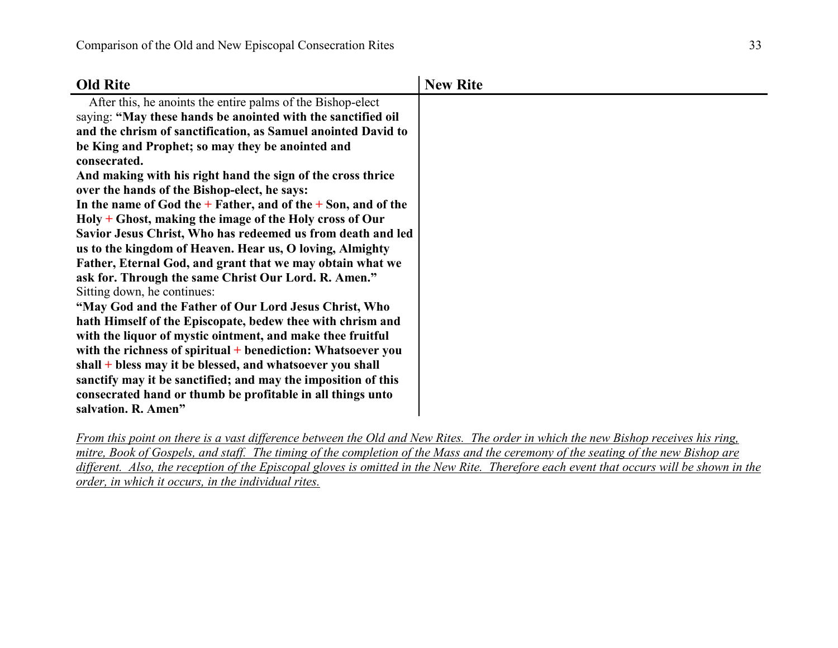| <b>Old Rite</b>                                                   | <b>New Rite</b> |
|-------------------------------------------------------------------|-----------------|
| After this, he anoints the entire palms of the Bishop-elect       |                 |
| saying: "May these hands be anointed with the sanctified oil      |                 |
| and the chrism of sanctification, as Samuel anointed David to     |                 |
| be King and Prophet; so may they be anointed and                  |                 |
| consecrated.                                                      |                 |
| And making with his right hand the sign of the cross thrice       |                 |
| over the hands of the Bishop-elect, he says:                      |                 |
| In the name of God the $+$ Father, and of the $+$ Son, and of the |                 |
| $Holy + Ghost$ , making the image of the Holy cross of Our        |                 |
| Savior Jesus Christ, Who has redeemed us from death and led       |                 |
| us to the kingdom of Heaven. Hear us, O loving, Almighty          |                 |
| Father, Eternal God, and grant that we may obtain what we         |                 |
| ask for. Through the same Christ Our Lord. R. Amen."              |                 |
| Sitting down, he continues:                                       |                 |
| "May God and the Father of Our Lord Jesus Christ, Who             |                 |
| hath Himself of the Episcopate, bedew thee with chrism and        |                 |
| with the liquor of mystic ointment, and make thee fruitful        |                 |
| with the richness of spiritual $+$ benediction: Whatsoever you    |                 |
| shall + bless may it be blessed, and whatsoever you shall         |                 |
| sanctify may it be sanctified; and may the imposition of this     |                 |
| consecrated hand or thumb be profitable in all things unto        |                 |
| salvation. R. Amen"                                               |                 |

*From this point on there is a vast difference between the Old and New Rites. The order in which the new Bishop receives his ring, mitre, Book of Gospels, and staff. The timing of the completion of the Mass and the ceremony of the seating of the new Bishop are* different. Also, the reception of the Episcopal gloves is omitted in the New Rite. Therefore each event that occurs will be shown in the *order, in which it occurs, in the individual rites.*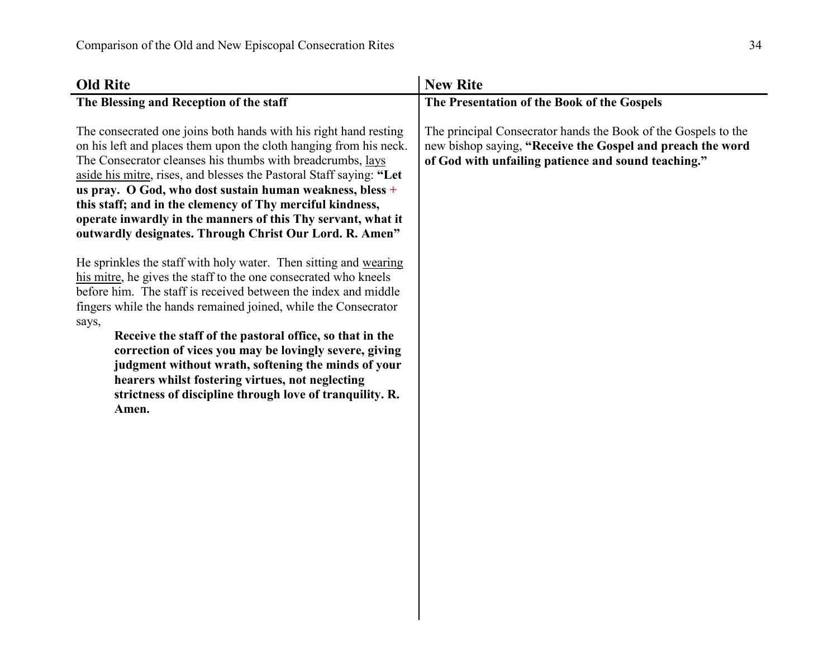| <b>Old Rite</b>                                                                                                                                                                                                                                                                                                                                                                                                                                                                                                                                                                        | <b>New Rite</b>                                                                                                                                                                     |
|----------------------------------------------------------------------------------------------------------------------------------------------------------------------------------------------------------------------------------------------------------------------------------------------------------------------------------------------------------------------------------------------------------------------------------------------------------------------------------------------------------------------------------------------------------------------------------------|-------------------------------------------------------------------------------------------------------------------------------------------------------------------------------------|
| The Blessing and Reception of the staff                                                                                                                                                                                                                                                                                                                                                                                                                                                                                                                                                | The Presentation of the Book of the Gospels                                                                                                                                         |
| The consecrated one joins both hands with his right hand resting<br>on his left and places them upon the cloth hanging from his neck.<br>The Consecrator cleanses his thumbs with breadcrumbs, lays<br>aside his mitre, rises, and blesses the Pastoral Staff saying: "Let<br>us pray. O God, who dost sustain human weakness, bless +<br>this staff; and in the clemency of Thy merciful kindness,<br>operate inwardly in the manners of this Thy servant, what it<br>outwardly designates. Through Christ Our Lord. R. Amen"                                                         | The principal Consecrator hands the Book of the Gospels to the<br>new bishop saying, "Receive the Gospel and preach the word<br>of God with unfailing patience and sound teaching." |
| He sprinkles the staff with holy water. Then sitting and wearing<br>his mitre, he gives the staff to the one consecrated who kneels<br>before him. The staff is received between the index and middle<br>fingers while the hands remained joined, while the Consecrator<br>says,<br>Receive the staff of the pastoral office, so that in the<br>correction of vices you may be lovingly severe, giving<br>judgment without wrath, softening the minds of your<br>hearers whilst fostering virtues, not neglecting<br>strictness of discipline through love of tranquility. R.<br>Amen. |                                                                                                                                                                                     |
|                                                                                                                                                                                                                                                                                                                                                                                                                                                                                                                                                                                        |                                                                                                                                                                                     |

 $\overline{\phantom{a}}$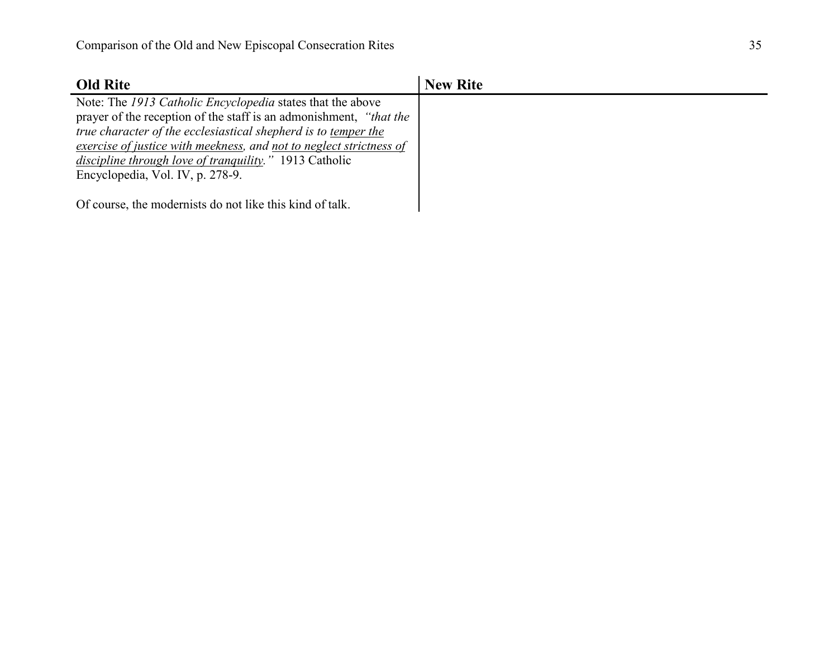| <b>Old Rite</b>                                                     | <b>New Rite</b> |
|---------------------------------------------------------------------|-----------------|
| Note: The 1913 Catholic Encyclopedia states that the above          |                 |
| prayer of the reception of the staff is an admonishment, "that the  |                 |
| true character of the ecclesiastical shepherd is to temper the      |                 |
| exercise of justice with meekness, and not to neglect strictness of |                 |
| <i>discipline through love of tranquility.</i> " 1913 Catholic      |                 |
| Encyclopedia, Vol. IV, p. 278-9.                                    |                 |
|                                                                     |                 |
| Of course, the modernists do not like this kind of talk.            |                 |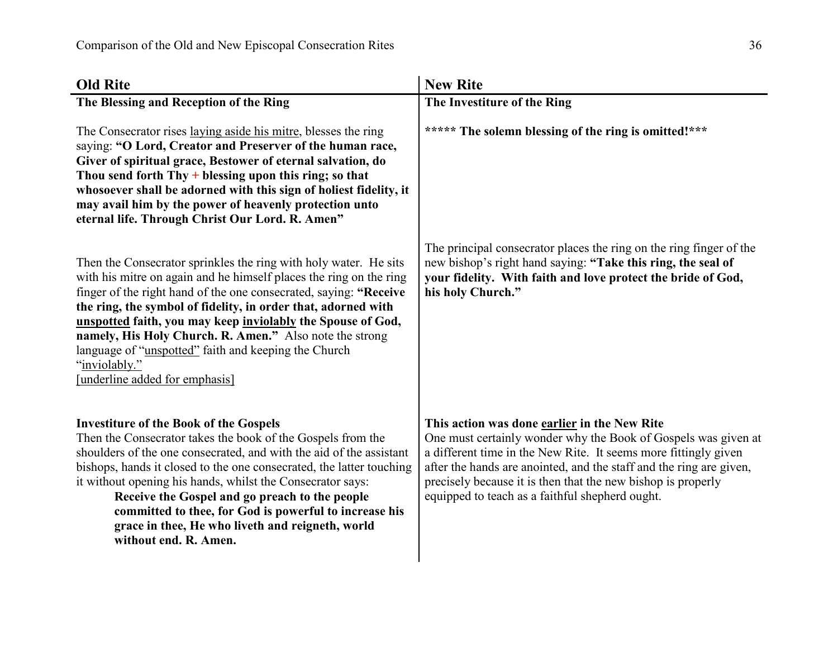| <b>Old Rite</b>                                                                                                                                                                                                                                                                                                                                                                                                                                                                                                    | <b>New Rite</b>                                                                                                                                                                                                                                                                                                                                                             |
|--------------------------------------------------------------------------------------------------------------------------------------------------------------------------------------------------------------------------------------------------------------------------------------------------------------------------------------------------------------------------------------------------------------------------------------------------------------------------------------------------------------------|-----------------------------------------------------------------------------------------------------------------------------------------------------------------------------------------------------------------------------------------------------------------------------------------------------------------------------------------------------------------------------|
| The Blessing and Reception of the Ring                                                                                                                                                                                                                                                                                                                                                                                                                                                                             | The Investiture of the Ring                                                                                                                                                                                                                                                                                                                                                 |
| The Consecrator rises laying aside his mitre, blesses the ring<br>saying: "O Lord, Creator and Preserver of the human race,<br>Giver of spiritual grace, Bestower of eternal salvation, do<br>Thou send forth $Thy + b$ lessing upon this ring; so that<br>whosoever shall be adorned with this sign of holiest fidelity, it<br>may avail him by the power of heavenly protection unto<br>eternal life. Through Christ Our Lord. R. Amen"                                                                          | ***** The solemn blessing of the ring is omitted!***                                                                                                                                                                                                                                                                                                                        |
| Then the Consecrator sprinkles the ring with holy water. He sits<br>with his mitre on again and he himself places the ring on the ring<br>finger of the right hand of the one consecrated, saying: "Receive<br>the ring, the symbol of fidelity, in order that, adorned with<br>unspotted faith, you may keep inviolably the Spouse of God,<br>namely, His Holy Church. R. Amen." Also note the strong<br>language of "unspotted" faith and keeping the Church<br>"inviolably."<br>[underline added for emphasis]  | The principal consecrator places the ring on the ring finger of the<br>new bishop's right hand saying: "Take this ring, the seal of<br>your fidelity. With faith and love protect the bride of God,<br>his holy Church."                                                                                                                                                    |
| <b>Investiture of the Book of the Gospels</b><br>Then the Consecrator takes the book of the Gospels from the<br>shoulders of the one consecrated, and with the aid of the assistant<br>bishops, hands it closed to the one consecrated, the latter touching<br>it without opening his hands, whilst the Consecrator says:<br>Receive the Gospel and go preach to the people<br>committed to thee, for God is powerful to increase his<br>grace in thee, He who liveth and reigneth, world<br>without end. R. Amen. | This action was done earlier in the New Rite<br>One must certainly wonder why the Book of Gospels was given at<br>a different time in the New Rite. It seems more fittingly given<br>after the hands are anointed, and the staff and the ring are given,<br>precisely because it is then that the new bishop is properly<br>equipped to teach as a faithful shepherd ought. |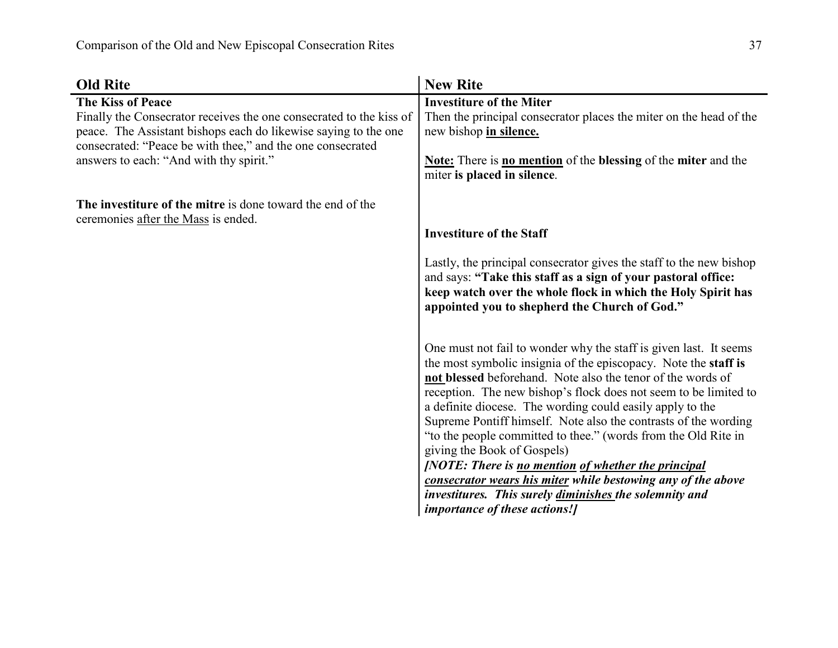| <b>Old Rite</b>                                                                                       | <b>New Rite</b>                                                                                                                                                                                                                                                                                                                                                                                                                                                                                                                                                                                                                                                                                                                   |
|-------------------------------------------------------------------------------------------------------|-----------------------------------------------------------------------------------------------------------------------------------------------------------------------------------------------------------------------------------------------------------------------------------------------------------------------------------------------------------------------------------------------------------------------------------------------------------------------------------------------------------------------------------------------------------------------------------------------------------------------------------------------------------------------------------------------------------------------------------|
| <b>The Kiss of Peace</b><br>Finally the Consecrator receives the one consecrated to the kiss of       | <b>Investiture of the Miter</b><br>Then the principal consecrator places the miter on the head of the                                                                                                                                                                                                                                                                                                                                                                                                                                                                                                                                                                                                                             |
| peace. The Assistant bishops each do likewise saying to the one                                       | new bishop in silence.                                                                                                                                                                                                                                                                                                                                                                                                                                                                                                                                                                                                                                                                                                            |
| consecrated: "Peace be with thee," and the one consecrated<br>answers to each: "And with thy spirit." | <b>Note:</b> There is <b>no mention</b> of the <b>blessing</b> of the <b>miter</b> and the<br>miter is placed in silence.                                                                                                                                                                                                                                                                                                                                                                                                                                                                                                                                                                                                         |
| The investiture of the mitre is done toward the end of the<br>ceremonies after the Mass is ended.     |                                                                                                                                                                                                                                                                                                                                                                                                                                                                                                                                                                                                                                                                                                                                   |
|                                                                                                       | <b>Investiture of the Staff</b>                                                                                                                                                                                                                                                                                                                                                                                                                                                                                                                                                                                                                                                                                                   |
|                                                                                                       | Lastly, the principal consecrator gives the staff to the new bishop<br>and says: "Take this staff as a sign of your pastoral office:<br>keep watch over the whole flock in which the Holy Spirit has<br>appointed you to shepherd the Church of God."                                                                                                                                                                                                                                                                                                                                                                                                                                                                             |
|                                                                                                       | One must not fail to wonder why the staff is given last. It seems<br>the most symbolic insignia of the episcopacy. Note the staff is<br>not blessed beforehand. Note also the tenor of the words of<br>reception. The new bishop's flock does not seem to be limited to<br>a definite diocese. The wording could easily apply to the<br>Supreme Pontiff himself. Note also the contrasts of the wording<br>"to the people committed to thee." (words from the Old Rite in<br>giving the Book of Gospels)<br>[NOTE: There is no mention of whether the principal<br>consecrator wears his miter while bestowing any of the above<br>investitures. This surely diminishes the solemnity and<br><i>importance of these actions!]</i> |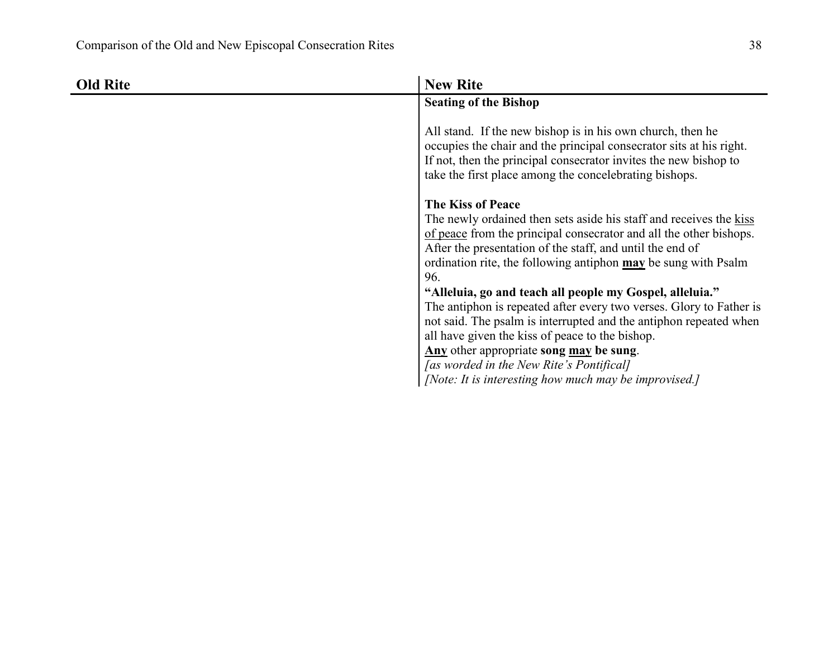| <b>Old Rite</b> | <b>New Rite</b>                                                                                                                                                                                                                                                                                                                                                                                                                               |
|-----------------|-----------------------------------------------------------------------------------------------------------------------------------------------------------------------------------------------------------------------------------------------------------------------------------------------------------------------------------------------------------------------------------------------------------------------------------------------|
|                 | <b>Seating of the Bishop</b>                                                                                                                                                                                                                                                                                                                                                                                                                  |
|                 | All stand. If the new bishop is in his own church, then he<br>occupies the chair and the principal consecrator sits at his right.<br>If not, then the principal consecrator invites the new bishop to<br>take the first place among the concelebrating bishops.                                                                                                                                                                               |
|                 | <b>The Kiss of Peace</b><br>The newly ordained then sets aside his staff and receives the kiss<br>of peace from the principal consecrator and all the other bishops.<br>After the presentation of the staff, and until the end of<br>ordination rite, the following antiphon may be sung with Psalm<br>96.<br>"Alleluia, go and teach all people my Gospel, alleluia."<br>The antiphon is repeated after every two verses. Glory to Father is |
|                 | not said. The psalm is interrupted and the antiphon repeated when<br>all have given the kiss of peace to the bishop.<br>Any other appropriate song may be sung.                                                                                                                                                                                                                                                                               |
|                 | [as worded in the New Rite's Pontifical]<br>[Note: It is interesting how much may be improvised.]                                                                                                                                                                                                                                                                                                                                             |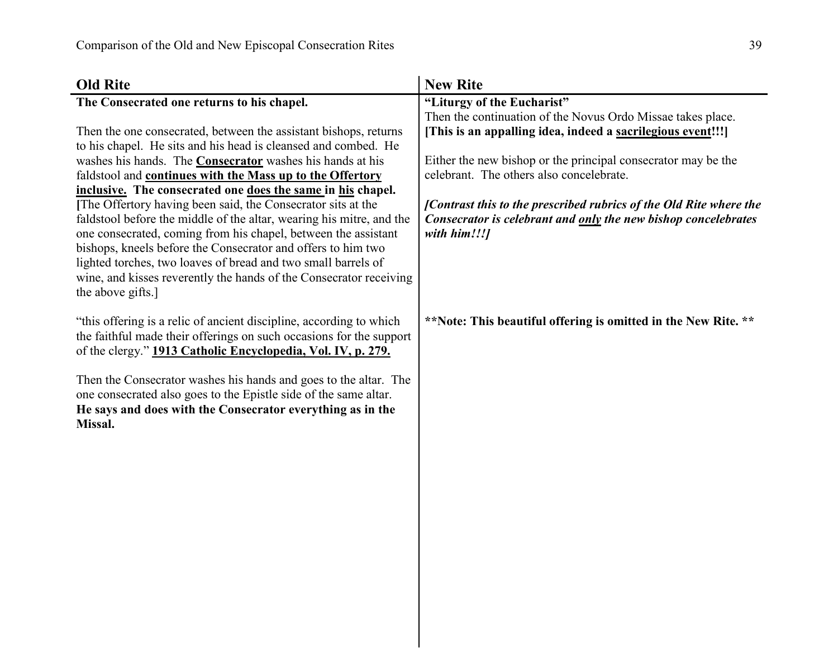| <b>Old Rite</b>                                                                                                                | <b>New Rite</b>                                                    |
|--------------------------------------------------------------------------------------------------------------------------------|--------------------------------------------------------------------|
| The Consecrated one returns to his chapel.                                                                                     | "Liturgy of the Eucharist"                                         |
|                                                                                                                                | Then the continuation of the Novus Ordo Missae takes place.        |
| Then the one consecrated, between the assistant bishops, returns                                                               | [This is an appalling idea, indeed a sacrilegious event!!!]        |
| to his chapel. He sits and his head is cleansed and combed. He                                                                 |                                                                    |
| washes his hands. The <b>Consecrator</b> washes his hands at his                                                               | Either the new bishop or the principal consecrator may be the      |
| faldstool and continues with the Mass up to the Offertory                                                                      | celebrant. The others also concelebrate.                           |
| inclusive. The consecrated one does the same in his chapel.                                                                    |                                                                    |
| The Offertory having been said, the Consecrator sits at the                                                                    | [Contrast this to the prescribed rubrics of the Old Rite where the |
| faldstool before the middle of the altar, wearing his mitre, and the                                                           | Consecrator is celebrant and only the new bishop concelebrates     |
| one consecrated, coming from his chapel, between the assistant<br>bishops, kneels before the Consecrator and offers to him two | with him!!!]                                                       |
| lighted torches, two loaves of bread and two small barrels of                                                                  |                                                                    |
| wine, and kisses reverently the hands of the Consecrator receiving                                                             |                                                                    |
| the above gifts.]                                                                                                              |                                                                    |
|                                                                                                                                |                                                                    |
| "this offering is a relic of ancient discipline, according to which                                                            | **Note: This beautiful offering is omitted in the New Rite. **     |
| the faithful made their offerings on such occasions for the support                                                            |                                                                    |
| of the clergy." 1913 Catholic Encyclopedia, Vol. IV, p. 279.                                                                   |                                                                    |
|                                                                                                                                |                                                                    |
| Then the Consecrator washes his hands and goes to the altar. The                                                               |                                                                    |
| one consecrated also goes to the Epistle side of the same altar.                                                               |                                                                    |
| He says and does with the Consecrator everything as in the<br>Missal.                                                          |                                                                    |
|                                                                                                                                |                                                                    |
|                                                                                                                                |                                                                    |
|                                                                                                                                |                                                                    |
|                                                                                                                                |                                                                    |
|                                                                                                                                |                                                                    |
|                                                                                                                                |                                                                    |
|                                                                                                                                |                                                                    |
|                                                                                                                                |                                                                    |
|                                                                                                                                |                                                                    |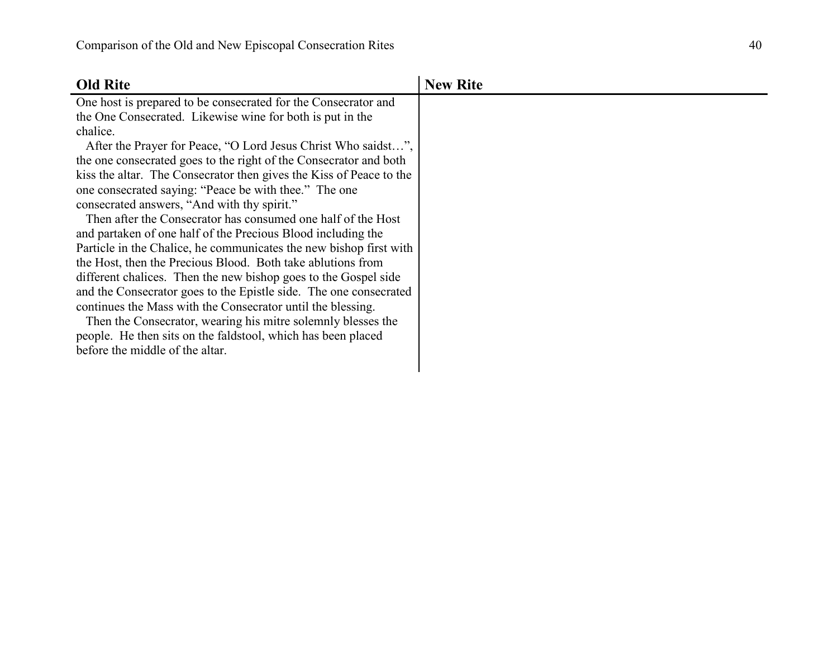| <b>Old Rite</b>                                                     | <b>New Rite</b> |
|---------------------------------------------------------------------|-----------------|
| One host is prepared to be consecrated for the Consecrator and      |                 |
| the One Consecrated. Likewise wine for both is put in the           |                 |
| chalice.                                                            |                 |
| After the Prayer for Peace, "O Lord Jesus Christ Who saidst",       |                 |
| the one consecrated goes to the right of the Consecrator and both   |                 |
| kiss the altar. The Consecrator then gives the Kiss of Peace to the |                 |
| one consecrated saying: "Peace be with thee." The one               |                 |
| consecrated answers, "And with thy spirit."                         |                 |
| Then after the Consecrator has consumed one half of the Host        |                 |
| and partaken of one half of the Precious Blood including the        |                 |
| Particle in the Chalice, he communicates the new bishop first with  |                 |
| the Host, then the Precious Blood. Both take ablutions from         |                 |
| different chalices. Then the new bishop goes to the Gospel side     |                 |
| and the Consecrator goes to the Epistle side. The one consecrated   |                 |
| continues the Mass with the Consecrator until the blessing.         |                 |
| Then the Consecrator, wearing his mitre solemnly blesses the        |                 |
| people. He then sits on the faldstool, which has been placed        |                 |
| before the middle of the altar.                                     |                 |
|                                                                     |                 |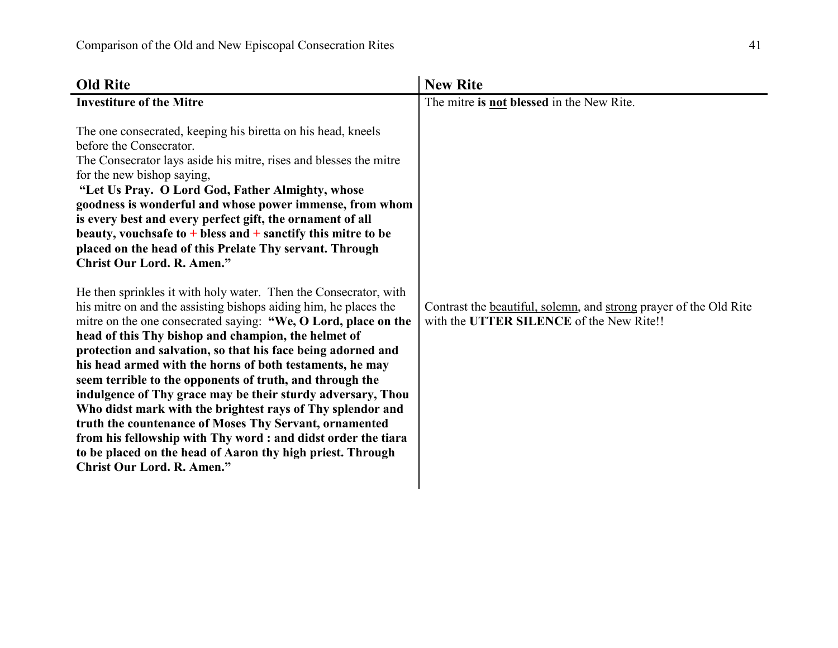| <b>Old Rite</b>                                                                                                                                                                                                                                                                                                                                                                                                                                                                                                                                                                                                                                                                                                                                                                                                                                                                                                                                                                                                                                                                                                                                                                                                                                                                                                                                                 | <b>New Rite</b>                                                                                               |
|-----------------------------------------------------------------------------------------------------------------------------------------------------------------------------------------------------------------------------------------------------------------------------------------------------------------------------------------------------------------------------------------------------------------------------------------------------------------------------------------------------------------------------------------------------------------------------------------------------------------------------------------------------------------------------------------------------------------------------------------------------------------------------------------------------------------------------------------------------------------------------------------------------------------------------------------------------------------------------------------------------------------------------------------------------------------------------------------------------------------------------------------------------------------------------------------------------------------------------------------------------------------------------------------------------------------------------------------------------------------|---------------------------------------------------------------------------------------------------------------|
| <b>Investiture of the Mitre</b>                                                                                                                                                                                                                                                                                                                                                                                                                                                                                                                                                                                                                                                                                                                                                                                                                                                                                                                                                                                                                                                                                                                                                                                                                                                                                                                                 | The mitre is not blessed in the New Rite.                                                                     |
| The one consecrated, keeping his biretta on his head, kneels<br>before the Consecrator.<br>The Consecrator lays aside his mitre, rises and blesses the mitre<br>for the new bishop saying,<br>"Let Us Pray. O Lord God, Father Almighty, whose<br>goodness is wonderful and whose power immense, from whom<br>is every best and every perfect gift, the ornament of all<br>beauty, vouchs afe to $+$ bless and $+$ sanctify this mitre to be<br>placed on the head of this Prelate Thy servant. Through<br><b>Christ Our Lord. R. Amen."</b><br>He then sprinkles it with holy water. Then the Consecrator, with<br>his mitre on and the assisting bishops aiding him, he places the<br>mitre on the one consecrated saying: "We, O Lord, place on the<br>head of this Thy bishop and champion, the helmet of<br>protection and salvation, so that his face being adorned and<br>his head armed with the horns of both testaments, he may<br>seem terrible to the opponents of truth, and through the<br>indulgence of Thy grace may be their sturdy adversary, Thou<br>Who didst mark with the brightest rays of Thy splendor and<br>truth the countenance of Moses Thy Servant, ornamented<br>from his fellowship with Thy word: and didst order the tiara<br>to be placed on the head of Aaron thy high priest. Through<br><b>Christ Our Lord. R. Amen."</b> | Contrast the beautiful, solemn, and strong prayer of the Old Rite<br>with the UTTER SILENCE of the New Rite!! |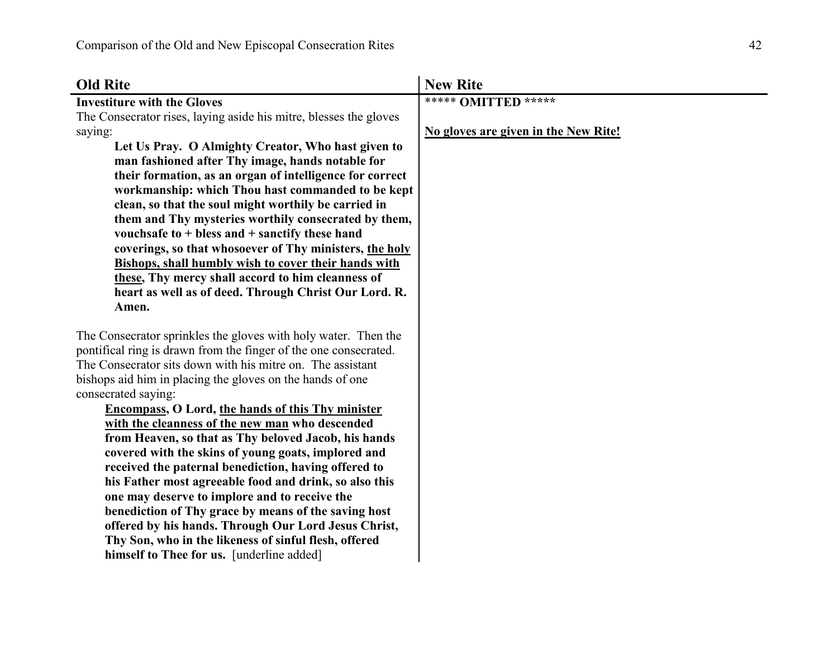| <b>Old Rite</b>                                                                                                  | <b>New Rite</b>                      |
|------------------------------------------------------------------------------------------------------------------|--------------------------------------|
| <b>Investiture with the Gloves</b>                                                                               | ***** OMITTED *****                  |
| The Consecrator rises, laying aside his mitre, blesses the gloves                                                |                                      |
| saying:                                                                                                          | No gloves are given in the New Rite! |
| Let Us Pray. O Almighty Creator, Who hast given to                                                               |                                      |
| man fashioned after Thy image, hands notable for                                                                 |                                      |
| their formation, as an organ of intelligence for correct                                                         |                                      |
| workmanship: which Thou hast commanded to be kept                                                                |                                      |
| clean, so that the soul might worthily be carried in                                                             |                                      |
| them and Thy mysteries worthily consecrated by them,                                                             |                                      |
| vouchsafe to $+$ bless and $+$ sanctify these hand                                                               |                                      |
| coverings, so that whosoever of Thy ministers, the holy                                                          |                                      |
| <b>Bishops, shall humbly wish to cover their hands with</b><br>these, Thy mercy shall accord to him cleanness of |                                      |
| heart as well as of deed. Through Christ Our Lord. R.                                                            |                                      |
| Amen.                                                                                                            |                                      |
|                                                                                                                  |                                      |
| The Consecrator sprinkles the gloves with holy water. Then the                                                   |                                      |
| pontifical ring is drawn from the finger of the one consecrated.                                                 |                                      |
| The Consecrator sits down with his mitre on. The assistant                                                       |                                      |
| bishops aid him in placing the gloves on the hands of one                                                        |                                      |
| consecrated saying:                                                                                              |                                      |
| <b>Encompass, O Lord, the hands of this Thy minister</b>                                                         |                                      |
| with the cleanness of the new man who descended                                                                  |                                      |
| from Heaven, so that as Thy beloved Jacob, his hands                                                             |                                      |
| covered with the skins of young goats, implored and                                                              |                                      |
| received the paternal benediction, having offered to                                                             |                                      |
| his Father most agreeable food and drink, so also this                                                           |                                      |
| one may deserve to implore and to receive the                                                                    |                                      |
| benediction of Thy grace by means of the saving host                                                             |                                      |
| offered by his hands. Through Our Lord Jesus Christ,<br>Thy Son, who in the likeness of sinful flesh, offered    |                                      |
| himself to Thee for us. [underline added]                                                                        |                                      |
|                                                                                                                  |                                      |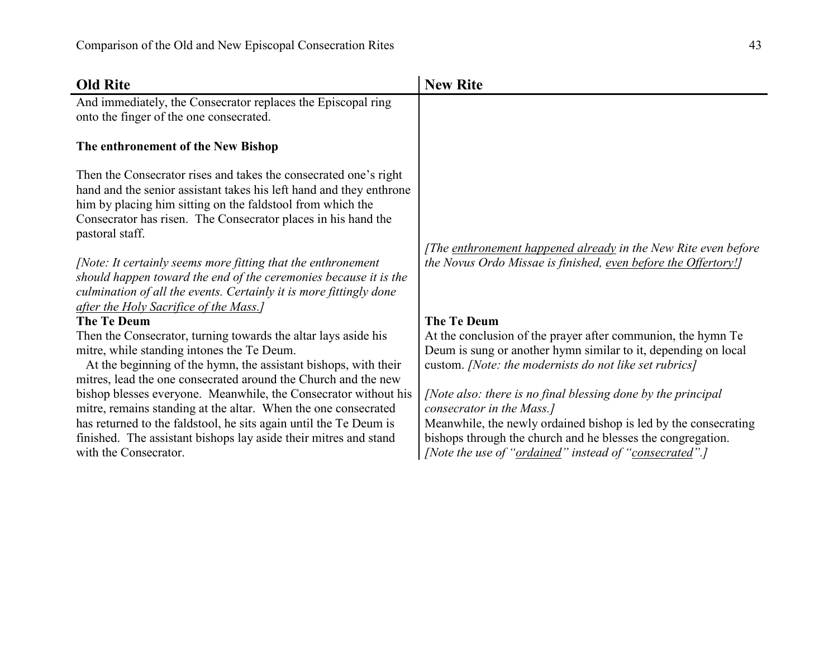| <b>Old Rite</b>                                                                                                                                                                                                                                                                                     | <b>New Rite</b>                                                                                                                                                                                                                                                                       |
|-----------------------------------------------------------------------------------------------------------------------------------------------------------------------------------------------------------------------------------------------------------------------------------------------------|---------------------------------------------------------------------------------------------------------------------------------------------------------------------------------------------------------------------------------------------------------------------------------------|
| And immediately, the Consecrator replaces the Episcopal ring<br>onto the finger of the one consecrated.                                                                                                                                                                                             |                                                                                                                                                                                                                                                                                       |
| The enthronement of the New Bishop                                                                                                                                                                                                                                                                  |                                                                                                                                                                                                                                                                                       |
| Then the Consecrator rises and takes the consecrated one's right<br>hand and the senior assistant takes his left hand and they enthrone<br>him by placing him sitting on the faldstool from which the<br>Consecrator has risen. The Consecrator places in his hand the<br>pastoral staff.           |                                                                                                                                                                                                                                                                                       |
| [Note: It certainly seems more fitting that the enthronement<br>should happen toward the end of the ceremonies because it is the<br>culmination of all the events. Certainly it is more fittingly done<br>after the Holy Sacrifice of the Mass.]                                                    | [The enthronement happened already in the New Rite even before<br>the Novus Ordo Missae is finished, even before the Offertory!]                                                                                                                                                      |
| <b>The Te Deum</b>                                                                                                                                                                                                                                                                                  | <b>The Te Deum</b>                                                                                                                                                                                                                                                                    |
| Then the Consecrator, turning towards the altar lays aside his<br>mitre, while standing intones the Te Deum.<br>At the beginning of the hymn, the assistant bishops, with their<br>mitres, lead the one consecrated around the Church and the new                                                   | At the conclusion of the prayer after communion, the hymn Te<br>Deum is sung or another hymn similar to it, depending on local<br>custom. [Note: the modernists do not like set rubrics]                                                                                              |
| bishop blesses everyone. Meanwhile, the Consecrator without his<br>mitre, remains standing at the altar. When the one consecrated<br>has returned to the faldstool, he sits again until the Te Deum is<br>finished. The assistant bishops lay aside their mitres and stand<br>with the Consecrator. | [Note also: there is no final blessing done by the principal<br>consecrator in the Mass.]<br>Meanwhile, the newly ordained bishop is led by the consecrating<br>bishops through the church and he blesses the congregation.<br>[Note the use of "ordained" instead of "consecrated".] |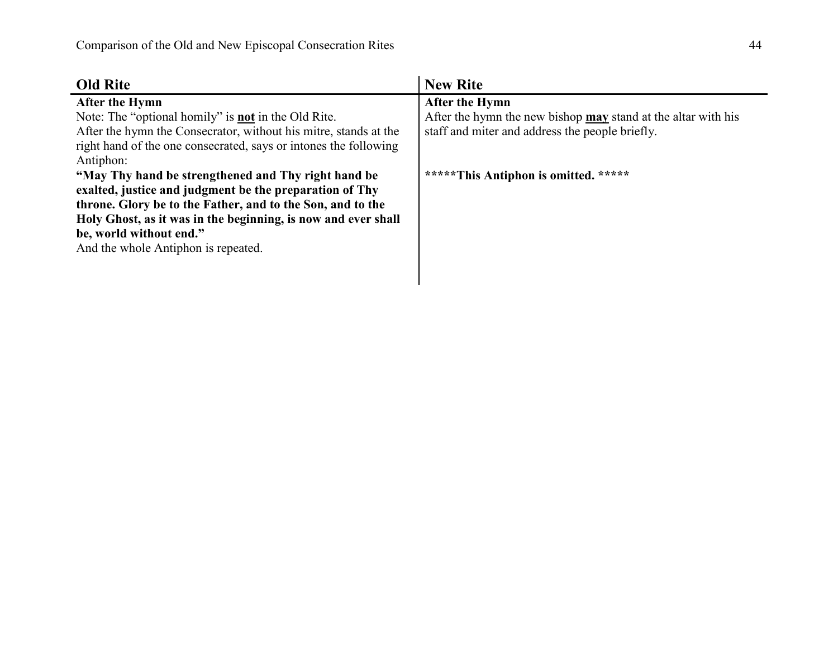| <b>Old Rite</b>                                                                                                                                                                                                                                                                                                 | <b>New Rite</b>                                                                                                                    |
|-----------------------------------------------------------------------------------------------------------------------------------------------------------------------------------------------------------------------------------------------------------------------------------------------------------------|------------------------------------------------------------------------------------------------------------------------------------|
| After the Hymn<br>Note: The "optional homily" is <b>not</b> in the Old Rite.<br>After the hymn the Consecrator, without his mitre, stands at the<br>right hand of the one consecrated, says or intones the following<br>Antiphon:                                                                               | After the Hymn<br>After the hymn the new bishop may stand at the altar with his<br>staff and miter and address the people briefly. |
| "May Thy hand be strengthened and Thy right hand be<br>exalted, justice and judgment be the preparation of Thy<br>throne. Glory be to the Father, and to the Son, and to the<br>Holy Ghost, as it was in the beginning, is now and ever shall<br>be, world without end."<br>And the whole Antiphon is repeated. | *****This Antiphon is omitted. *****                                                                                               |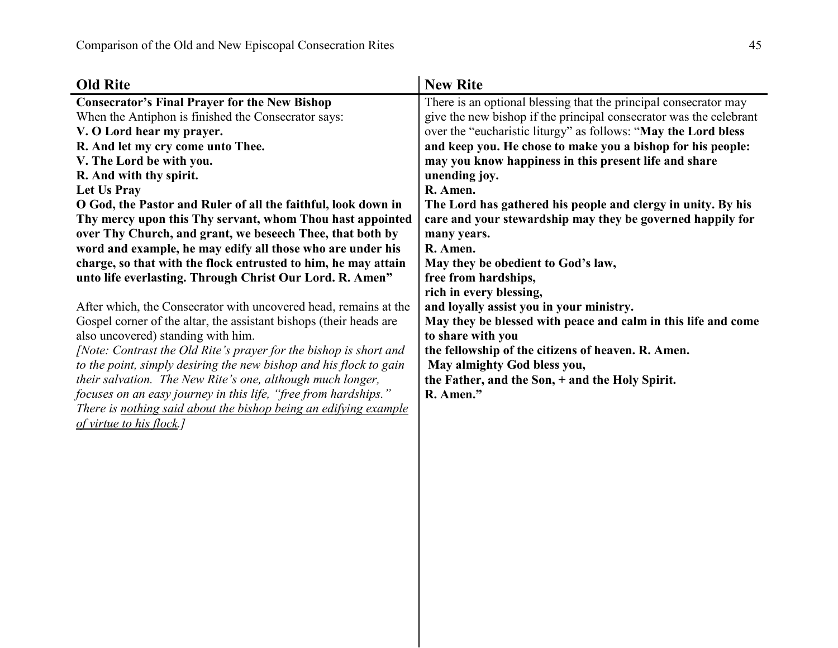| <b>Old Rite</b>                                                    | <b>New Rite</b>                                                    |
|--------------------------------------------------------------------|--------------------------------------------------------------------|
| <b>Consecrator's Final Prayer for the New Bishop</b>               | There is an optional blessing that the principal consecrator may   |
| When the Antiphon is finished the Consecrator says:                | give the new bishop if the principal consecrator was the celebrant |
| V. O Lord hear my prayer.                                          | over the "eucharistic liturgy" as follows: "May the Lord bless     |
| R. And let my cry come unto Thee.                                  | and keep you. He chose to make you a bishop for his people:        |
| V. The Lord be with you.                                           | may you know happiness in this present life and share              |
| R. And with thy spirit.                                            | unending joy.                                                      |
| Let Us Pray                                                        | R. Amen.                                                           |
| O God, the Pastor and Ruler of all the faithful, look down in      | The Lord has gathered his people and clergy in unity. By his       |
| Thy mercy upon this Thy servant, whom Thou hast appointed          | care and your stewardship may they be governed happily for         |
| over Thy Church, and grant, we beseech Thee, that both by          | many years.                                                        |
| word and example, he may edify all those who are under his         | R. Amen.                                                           |
| charge, so that with the flock entrusted to him, he may attain     | May they be obedient to God's law,                                 |
| unto life everlasting. Through Christ Our Lord. R. Amen"           | free from hardships,                                               |
|                                                                    | rich in every blessing,                                            |
| After which, the Consecrator with uncovered head, remains at the   | and loyally assist you in your ministry.                           |
| Gospel corner of the altar, the assistant bishops (their heads are | May they be blessed with peace and calm in this life and come      |
| also uncovered) standing with him.                                 | to share with you                                                  |
| [Note: Contrast the Old Rite's prayer for the bishop is short and  | the fellowship of the citizens of heaven. R. Amen.                 |
| to the point, simply desiring the new bishop and his flock to gain | May almighty God bless you,                                        |
| their salvation. The New Rite's one, although much longer,         | the Father, and the Son, + and the Holy Spirit.                    |
| focuses on an easy journey in this life, "free from hardships."    | R. Amen."                                                          |
| There is nothing said about the bishop being an edifying example   |                                                                    |
| of virtue to his flock.                                            |                                                                    |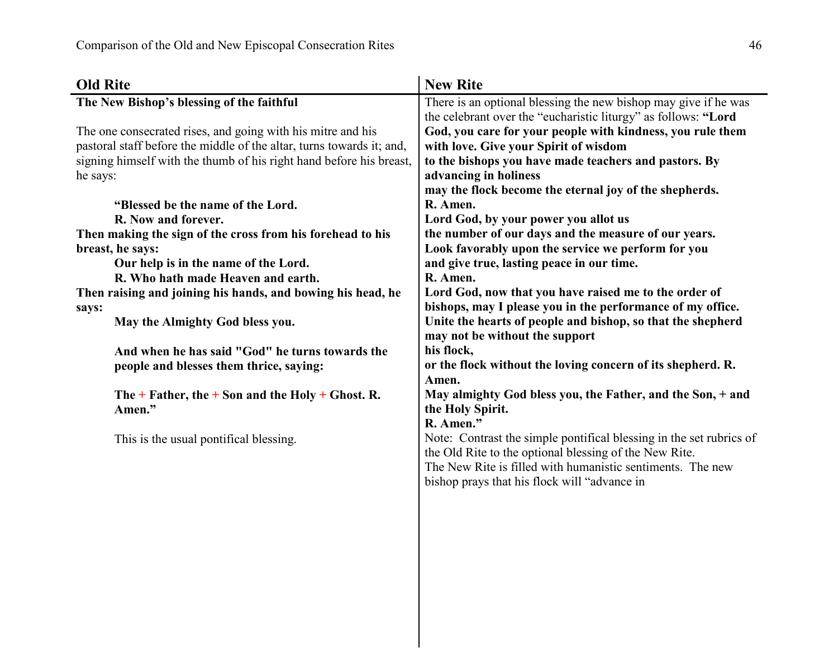| <b>Old Rite</b>                                                       | <b>New Rite</b>                                                                                                      |
|-----------------------------------------------------------------------|----------------------------------------------------------------------------------------------------------------------|
| The New Bishop's blessing of the faithful                             | There is an optional blessing the new bishop may give if he was                                                      |
|                                                                       | the celebrant over the "eucharistic liturgy" as follows: "Lord                                                       |
| The one consecrated rises, and going with his mitre and his           | God, you care for your people with kindness, you rule them                                                           |
| pastoral staff before the middle of the altar, turns towards it; and, | with love. Give your Spirit of wisdom                                                                                |
| signing himself with the thumb of his right hand before his breast,   | to the bishops you have made teachers and pastors. By                                                                |
| he says:                                                              | advancing in holiness                                                                                                |
|                                                                       | may the flock become the eternal joy of the shepherds.                                                               |
| "Blessed be the name of the Lord.                                     | R. Amen.                                                                                                             |
| R. Now and forever.                                                   | Lord God, by your power you allot us                                                                                 |
| Then making the sign of the cross from his forehead to his            | the number of our days and the measure of our years.                                                                 |
| breast, he says:                                                      | Look favorably upon the service we perform for you                                                                   |
| Our help is in the name of the Lord.                                  | and give true, lasting peace in our time.                                                                            |
| R. Who hath made Heaven and earth.                                    | R. Amen.                                                                                                             |
| Then raising and joining his hands, and bowing his head, he           | Lord God, now that you have raised me to the order of                                                                |
| says:                                                                 | bishops, may I please you in the performance of my office.                                                           |
| May the Almighty God bless you.                                       | Unite the hearts of people and bishop, so that the shepherd                                                          |
|                                                                       | may not be without the support                                                                                       |
| And when he has said "God" he turns towards the                       | his flock,                                                                                                           |
| people and blesses them thrice, saying:                               | or the flock without the loving concern of its shepherd. R.                                                          |
|                                                                       | Amen.                                                                                                                |
| The $+$ Father, the $+$ Son and the Holy $+$ Ghost. R.                | May almighty God bless you, the Father, and the Son, + and                                                           |
| Amen."                                                                | the Holy Spirit.                                                                                                     |
|                                                                       | R. Amen."                                                                                                            |
| This is the usual pontifical blessing.                                | Note: Contrast the simple pontifical blessing in the set rubrics of                                                  |
|                                                                       | the Old Rite to the optional blessing of the New Rite.<br>The New Rite is filled with humanistic sentiments. The new |
|                                                                       | bishop prays that his flock will "advance in                                                                         |
|                                                                       |                                                                                                                      |
|                                                                       |                                                                                                                      |
|                                                                       |                                                                                                                      |
|                                                                       |                                                                                                                      |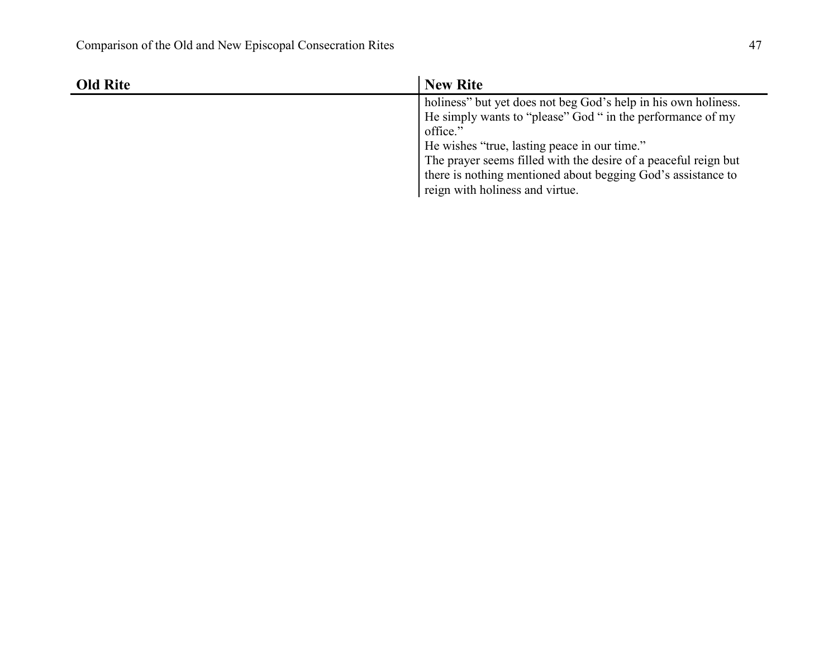| <b>Old Rite</b> | <b>New Rite</b>                                                 |
|-----------------|-----------------------------------------------------------------|
|                 | holiness" but yet does not beg God's help in his own holiness.  |
|                 | He simply wants to "please" God " in the performance of my      |
|                 | office."                                                        |
|                 | He wishes "true, lasting peace in our time."                    |
|                 | The prayer seems filled with the desire of a peaceful reign but |
|                 | there is nothing mentioned about begging God's assistance to    |
|                 | reign with holiness and virtue.                                 |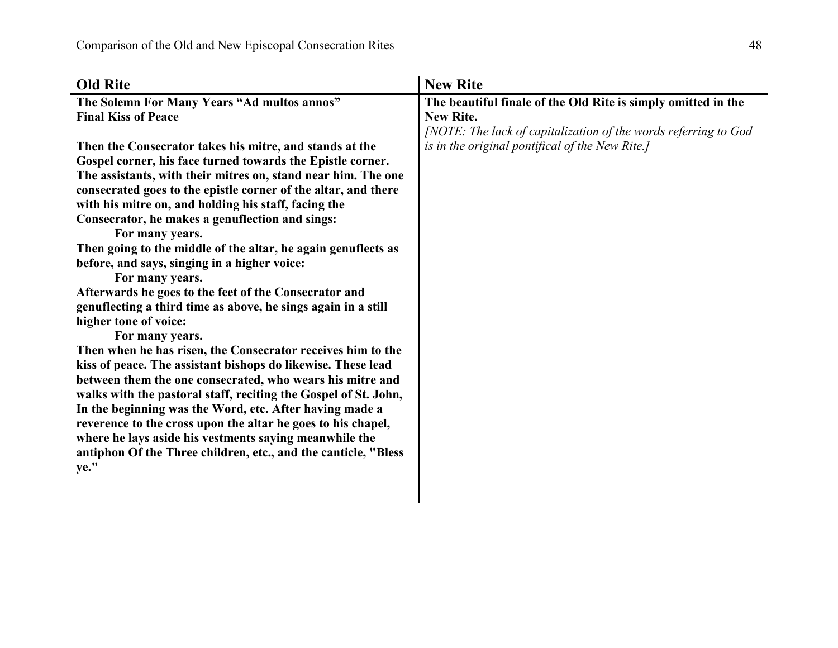| <b>Old Rite</b>                                                 | <b>New Rite</b>                                                 |
|-----------------------------------------------------------------|-----------------------------------------------------------------|
| The Solemn For Many Years "Ad multos annos"                     | The beautiful finale of the Old Rite is simply omitted in the   |
| <b>Final Kiss of Peace</b>                                      | <b>New Rite.</b>                                                |
|                                                                 | [NOTE: The lack of capitalization of the words referring to God |
| Then the Consecrator takes his mitre, and stands at the         | is in the original pontifical of the New Rite.]                 |
| Gospel corner, his face turned towards the Epistle corner.      |                                                                 |
| The assistants, with their mitres on, stand near him. The one   |                                                                 |
| consecrated goes to the epistle corner of the altar, and there  |                                                                 |
| with his mitre on, and holding his staff, facing the            |                                                                 |
| Consecrator, he makes a genuflection and sings:                 |                                                                 |
| For many years.                                                 |                                                                 |
| Then going to the middle of the altar, he again genuflects as   |                                                                 |
| before, and says, singing in a higher voice:                    |                                                                 |
| For many years.                                                 |                                                                 |
| Afterwards he goes to the feet of the Consecrator and           |                                                                 |
| genuflecting a third time as above, he sings again in a still   |                                                                 |
| higher tone of voice:                                           |                                                                 |
| For many years.                                                 |                                                                 |
| Then when he has risen, the Consecrator receives him to the     |                                                                 |
| kiss of peace. The assistant bishops do likewise. These lead    |                                                                 |
| between them the one consecrated, who wears his mitre and       |                                                                 |
| walks with the pastoral staff, reciting the Gospel of St. John, |                                                                 |
| In the beginning was the Word, etc. After having made a         |                                                                 |
| reverence to the cross upon the altar he goes to his chapel,    |                                                                 |
| where he lays aside his vestments saying meanwhile the          |                                                                 |
| antiphon Of the Three children, etc., and the canticle, "Bless  |                                                                 |
| ye."                                                            |                                                                 |
|                                                                 |                                                                 |
|                                                                 |                                                                 |